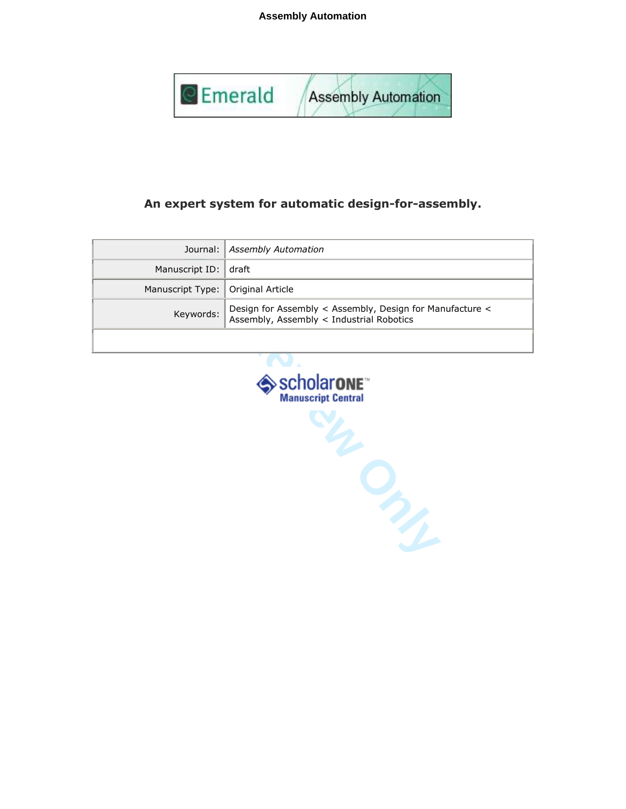**Assembly Automation**



# An expert system for automatic design-for-assembly.

|                                     | Journal:   Assembly Automation                                                                         |
|-------------------------------------|--------------------------------------------------------------------------------------------------------|
| Manuscript ID: draft                |                                                                                                        |
| Manuscript Type:   Original Article |                                                                                                        |
| Keywords:                           | Design for Assembly < Assembly, Design for Manufacture <<br>  Assembly, Assembly < Industrial Robotics |
|                                     |                                                                                                        |

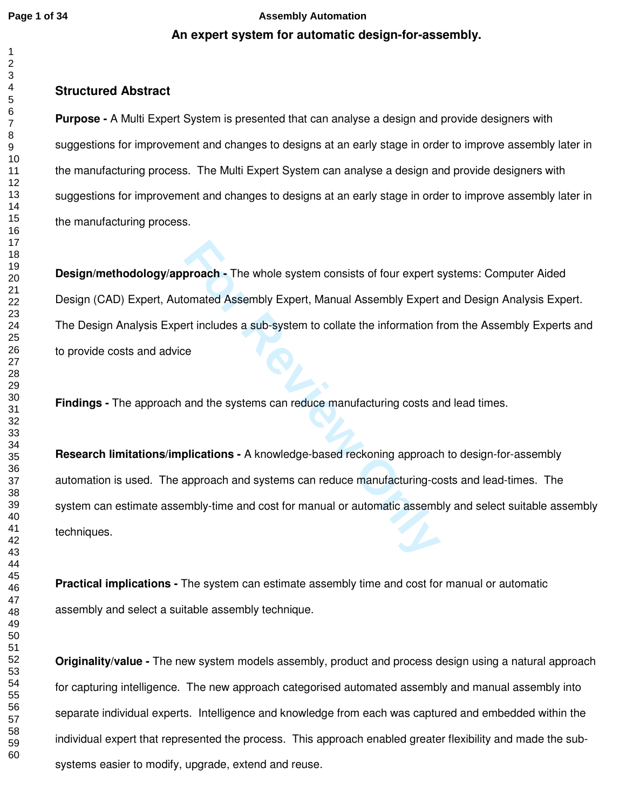# **An expert system for automatic design-for-assembly. Page 1 of 34 Assembly Automation**

# **Structured Abstract**

**Purpose -** A Multi Expert System is presented that can analyse a design and provide designers with suggestions for improvement and changes to designs at an early stage in order to improve assembly later in the manufacturing process. The Multi Expert System can analyse a design and provide designers with suggestions for improvement and changes to designs at an early stage in order to improve assembly later in the manufacturing process.

**proach -** The whole system consists of four expert somated Assembly Expert, Manual Assembly Expert and the information fields a sub-system to collate the information fields<br>and the systems can reduce manufacturing costs a **Design/methodology/approach -** The whole system consists of four expert systems: Computer Aided Design (CAD) Expert, Automated Assembly Expert, Manual Assembly Expert and Design Analysis Expert. The Design Analysis Expert includes a sub-system to collate the information from the Assembly Experts and to provide costs and advice

**Findings -** The approach and the systems can reduce manufacturing costs and lead times.

**Research limitations/implications -** A knowledge-based reckoning approach to design-for-assembly automation is used. The approach and systems can reduce manufacturing-costs and lead-times. The system can estimate assembly-time and cost for manual or automatic assembly and select suitable assembly techniques.

**Practical implications -** The system can estimate assembly time and cost for manual or automatic assembly and select a suitable assembly technique.

**Originality/value -** The new system models assembly, product and process design using a natural approach for capturing intelligence. The new approach categorised automated assembly and manual assembly into separate individual experts. Intelligence and knowledge from each was captured and embedded within the individual expert that represented the process. This approach enabled greater flexibility and made the subsystems easier to modify, upgrade, extend and reuse.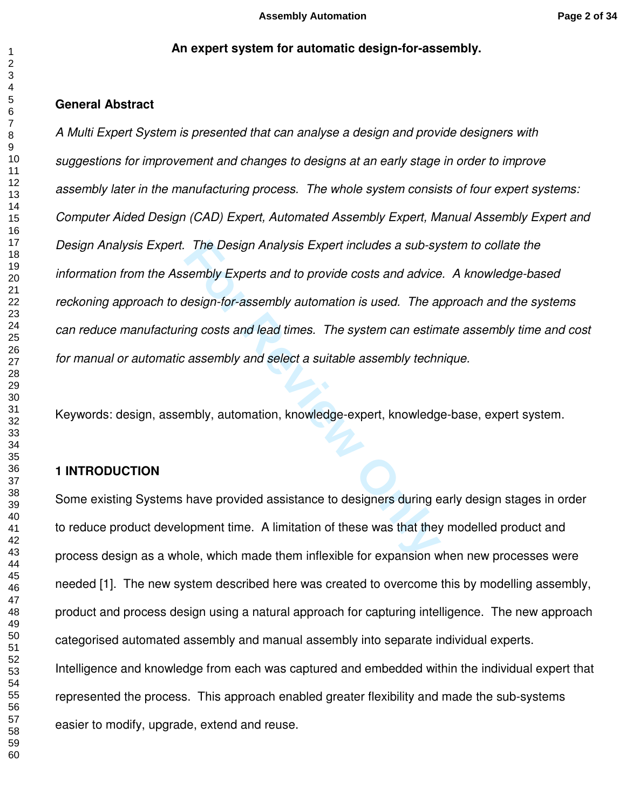### **An expert system for automatic design-for-assembly.**

## **General Abstract**

The Design Analysis Expert includes a sub-sy<br>sembly Experts and to provide costs and advice<br>design-for-assembly automation is used. The a<br>ing costs and lead times. The system can estim<br>assembly and select a suitable assemb *A Multi Expert System is presented that can analyse a design and provide designers with suggestions for improvement and changes to designs at an early stage in order to improve assembly later in the manufacturing process. The whole system consists of four expert systems: Computer Aided Design (CAD) Expert, Automated Assembly Expert, Manual Assembly Expert and Design Analysis Expert. The Design Analysis Expert includes a sub-system to collate the information from the Assembly Experts and to provide costs and advice. A knowledge-based reckoning approach to design-for-assembly automation is used. The approach and the systems can reduce manufacturing costs and lead times. The system can estimate assembly time and cost for manual or automatic assembly and select a suitable assembly technique.* 

Keywords: design, assembly, automation, knowledge-expert, knowledge-base, expert system.

# **1 INTRODUCTION**

Some existing Systems have provided assistance to designers during early design stages in order to reduce product development time. A limitation of these was that they modelled product and process design as a whole, which made them inflexible for expansion when new processes were needed [1]. The new system described here was created to overcome this by modelling assembly, product and process design using a natural approach for capturing intelligence. The new approach categorised automated assembly and manual assembly into separate individual experts. Intelligence and knowledge from each was captured and embedded within the individual expert that represented the process. This approach enabled greater flexibility and made the sub-systems easier to modify, upgrade, extend and reuse.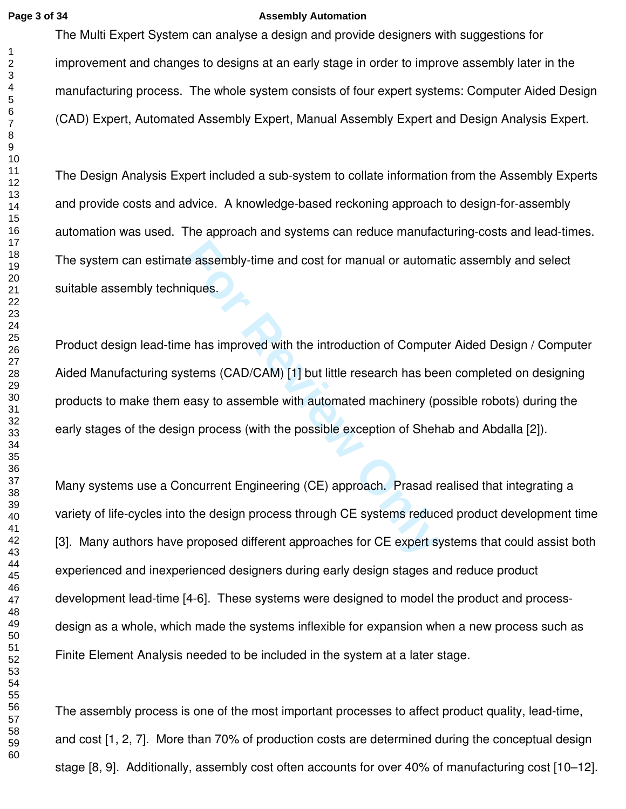### **Page 3 of 34 Assembly Automation**

The Multi Expert System can analyse a design and provide designers with suggestions for improvement and changes to designs at an early stage in order to improve assembly later in the manufacturing process. The whole system consists of four expert systems: Computer Aided Design (CAD) Expert, Automated Assembly Expert, Manual Assembly Expert and Design Analysis Expert.

The Design Analysis Expert included a sub-system to collate information from the Assembly Experts and provide costs and advice. A knowledge-based reckoning approach to design-for-assembly automation was used. The approach and systems can reduce manufacturing-costs and lead-times. The system can estimate assembly-time and cost for manual or automatic assembly and select suitable assembly techniques.

For assembly-time and cost for manual or automariques.<br>
For Review Siques.<br>
For Review of CAD/CAM) [1] but little research has been easy to assemble with automated machinery (por Review Signal process (with the possible ex Product design lead-time has improved with the introduction of Computer Aided Design / Computer Aided Manufacturing systems (CAD/CAM) [1] but little research has been completed on designing products to make them easy to assemble with automated machinery (possible robots) during the early stages of the design process (with the possible exception of Shehab and Abdalla [2]).

Many systems use a Concurrent Engineering (CE) approach. Prasad realised that integrating a variety of life-cycles into the design process through CE systems reduced product development time [3]. Many authors have proposed different approaches for CE expert systems that could assist both experienced and inexperienced designers during early design stages and reduce product development lead-time [4-6]. These systems were designed to model the product and processdesign as a whole, which made the systems inflexible for expansion when a new process such as Finite Element Analysis needed to be included in the system at a later stage.

The assembly process is one of the most important processes to affect product quality, lead-time, and cost [1, 2, 7]. More than 70% of production costs are determined during the conceptual design stage [8, 9]. Additionally, assembly cost often accounts for over 40% of manufacturing cost [10–12].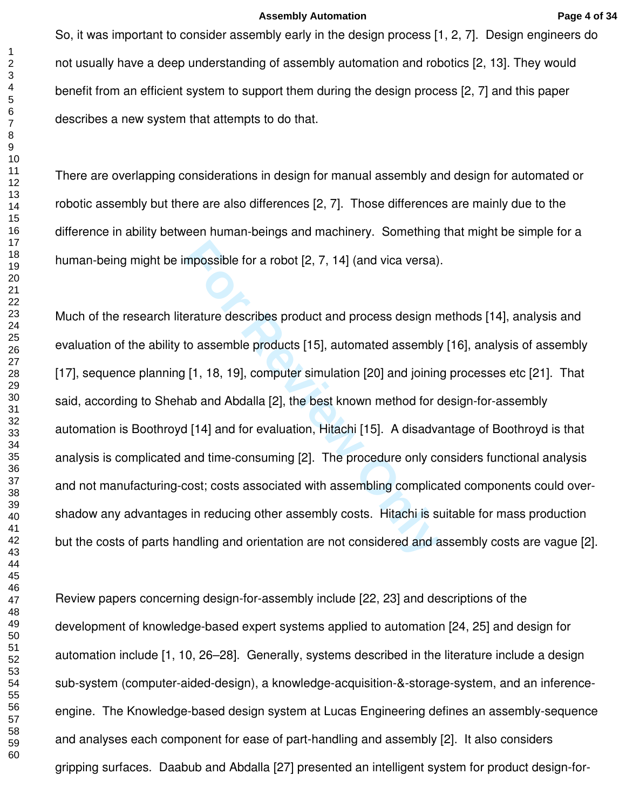So, it was important to consider assembly early in the design process [1, 2, 7]. Design engineers do not usually have a deep understanding of assembly automation and robotics [2, 13]. They would benefit from an efficient system to support them during the design process [2, 7] and this paper describes a new system that attempts to do that.

There are overlapping considerations in design for manual assembly and design for automated or robotic assembly but there are also differences [2, 7]. Those differences are mainly due to the difference in ability between human-beings and machinery. Something that might be simple for a human-being might be impossible for a robot [2, 7, 14] (and vica versa).

mpossible for a robot [2, 7, 14] (and vica versa)<br>
Frature describes product and process design n<br>
to assemble products [15], automated assembl<sub>)</sub><br>
[1, 18, 19], computer simulation [20] and joining<br>
ab and Abdalla [2], the Much of the research literature describes product and process design methods [14], analysis and evaluation of the ability to assemble products [15], automated assembly [16], analysis of assembly [17], sequence planning [1, 18, 19], computer simulation [20] and joining processes etc [21]. That said, according to Shehab and Abdalla [2], the best known method for design-for-assembly automation is Boothroyd [14] and for evaluation, Hitachi [15]. A disadvantage of Boothroyd is that analysis is complicated and time-consuming [2]. The procedure only considers functional analysis and not manufacturing-cost; costs associated with assembling complicated components could overshadow any advantages in reducing other assembly costs. Hitachi is suitable for mass production but the costs of parts handling and orientation are not considered and assembly costs are vague [2].

Review papers concerning design-for-assembly include [22, 23] and descriptions of the development of knowledge-based expert systems applied to automation [24, 25] and design for automation include [1, 10, 26–28]. Generally, systems described in the literature include a design sub-system (computer-aided-design), a knowledge-acquisition-&-storage-system, and an inferenceengine. The Knowledge-based design system at Lucas Engineering defines an assembly-sequence and analyses each component for ease of part-handling and assembly [2]. It also considers gripping surfaces. Daabub and Abdalla [27] presented an intelligent system for product design-for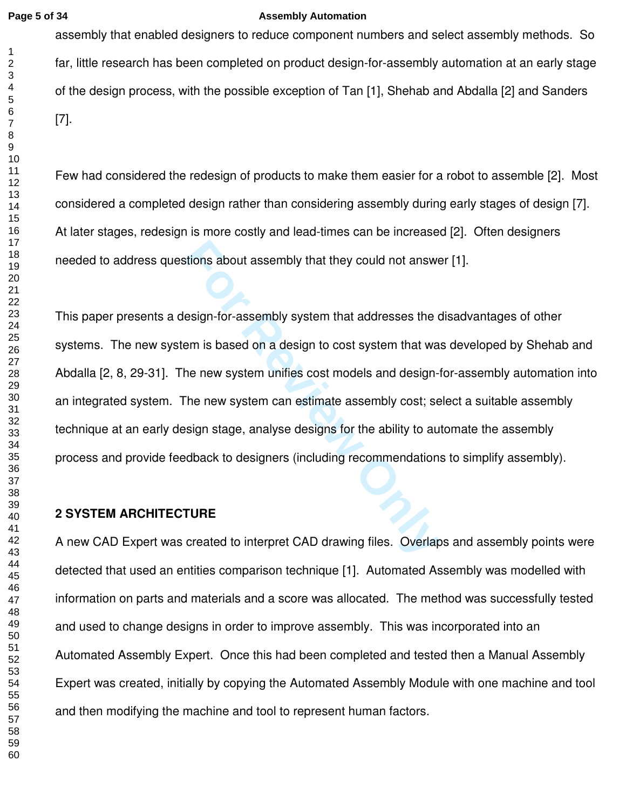### **Page 5 of 34 Assembly Automation**

assembly that enabled designers to reduce component numbers and select assembly methods. So far, little research has been completed on product design-for-assembly automation at an early stage of the design process, with the possible exception of Tan [1], Shehab and Abdalla [2] and Sanders [7].

Few had considered the redesign of products to make them easier for a robot to assemble [2]. Most considered a completed design rather than considering assembly during early stages of design [7]. At later stages, redesign is more costly and lead-times can be increased [2]. Often designers needed to address questions about assembly that they could not answer [1].

stions about assembly that they could not answe<br>
esign-for-assembly system that addresses the c<br>
em is based on a design to cost system that wa<br>
the new system unifies cost models and design-<br>
The new system can estimate a This paper presents a design-for-assembly system that addresses the disadvantages of other systems. The new system is based on a design to cost system that was developed by Shehab and Abdalla [2, 8, 29-31]. The new system unifies cost models and design-for-assembly automation into an integrated system. The new system can estimate assembly cost; select a suitable assembly technique at an early design stage, analyse designs for the ability to automate the assembly process and provide feedback to designers (including recommendations to simplify assembly).

# **2 SYSTEM ARCHITECTURE**

A new CAD Expert was created to interpret CAD drawing files. Overlaps and assembly points were detected that used an entities comparison technique [1]. Automated Assembly was modelled with information on parts and materials and a score was allocated. The method was successfully tested and used to change designs in order to improve assembly. This was incorporated into an Automated Assembly Expert. Once this had been completed and tested then a Manual Assembly Expert was created, initially by copying the Automated Assembly Module with one machine and tool and then modifying the machine and tool to represent human factors.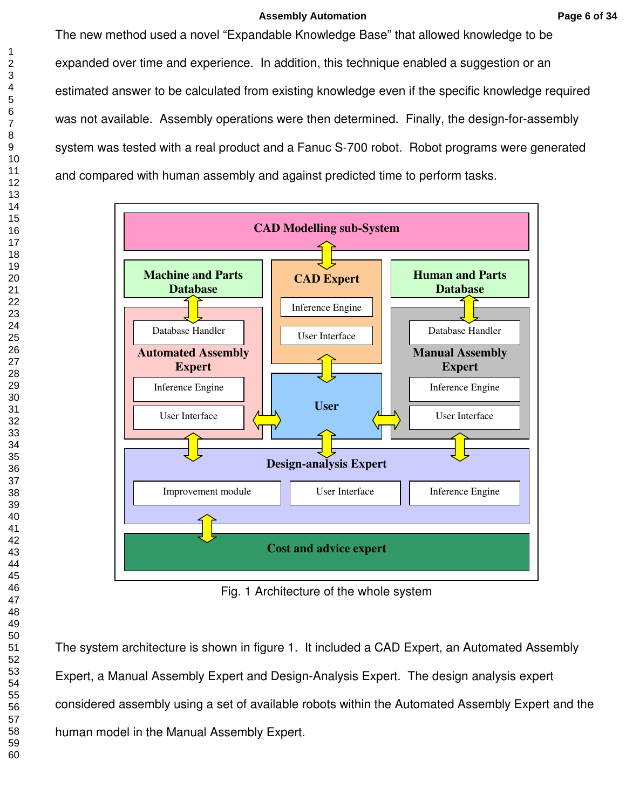### **Assembly Automation Page 6 of 34**

The new method used a novel "Expandable Knowledge Base" that allowed knowledge to be expanded over time and experience. In addition, this technique enabled a suggestion or an estimated answer to be calculated from existing knowledge even if the specific knowledge required was not available. Assembly operations were then determined. Finally, the design-for-assembly system was tested with a real product and a Fanuc S-700 robot. Robot programs were generated and compared with human assembly and against predicted time to perform tasks.



Fig. 1 Architecture of the whole system

The system architecture is shown in figure 1. It included a CAD Expert, an Automated Assembly Expert, a Manual Assembly Expert and Design-Analysis Expert. The design analysis expert considered assembly using a set of available robots within the Automated Assembly Expert and the human model in the Manual Assembly Expert.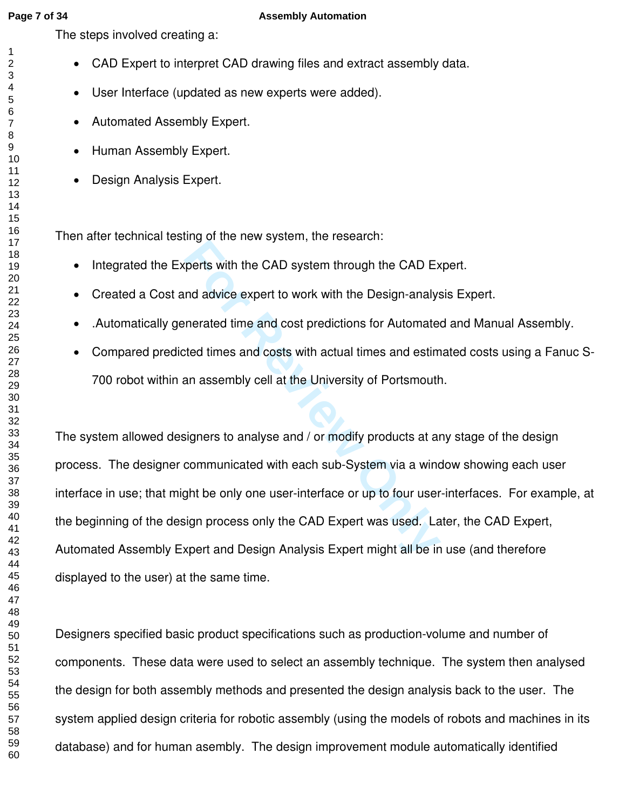### **Page 7 of 34 Assembly Automation**

The steps involved creating a:

- CAD Expert to interpret CAD drawing files and extract assembly data.
- User Interface (updated as new experts were added).
- Automated Assembly Expert.
- Human Assembly Expert.
- Design Analysis Expert.

Then after technical testing of the new system, the research:

- Integrated the Experts with the CAD system through the CAD Expert.
- Created a Cost and advice expert to work with the Design-analysis Expert.
- .Automatically generated time and cost predictions for Automated and Manual Assembly.
- Compared predicted times and costs with actual times and estimated costs using a Fanuc S-700 robot within an assembly cell at the University of Portsmouth.

For Review Specifical and the CAD Example 15 and advice expert to work with the Design-analys<br>
Interacted time and cost predictions for Automate<br>
ted times and costs with actual times and estim<br>
an assembly cell at the Uni The system allowed designers to analyse and / or modify products at any stage of the design process. The designer communicated with each sub-System via a window showing each user interface in use; that might be only one user-interface or up to four user-interfaces. For example, at the beginning of the design process only the CAD Expert was used. Later, the CAD Expert, Automated Assembly Expert and Design Analysis Expert might all be in use (and therefore displayed to the user) at the same time.

Designers specified basic product specifications such as production-volume and number of components. These data were used to select an assembly technique. The system then analysed the design for both assembly methods and presented the design analysis back to the user. The system applied design criteria for robotic assembly (using the models of robots and machines in its database) and for human asembly. The design improvement module automatically identified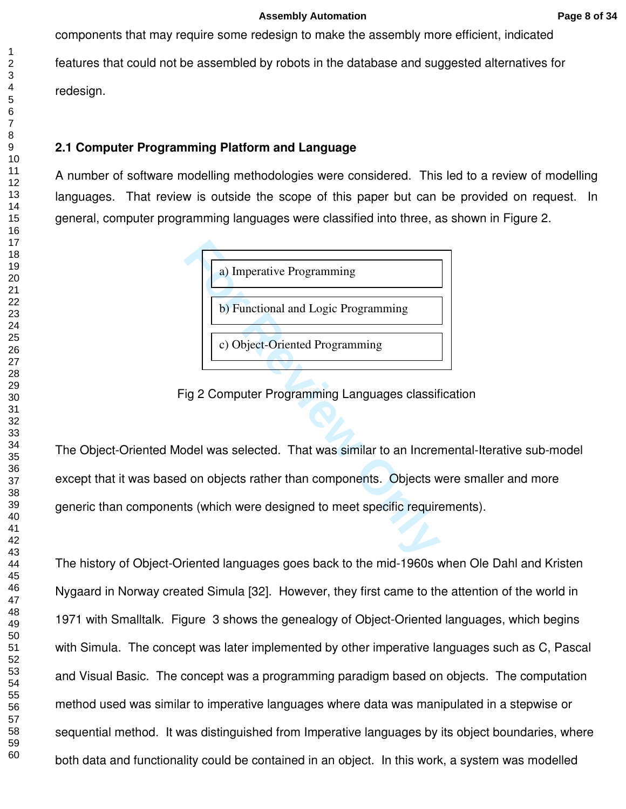components that may require some redesign to make the assembly more efficient, indicated features that could not be assembled by robots in the database and suggested alternatives for redesign.

# **2.1 Computer Programming Platform and Language**

A number of software modelling methodologies were considered. This led to a review of modelling languages. That review is outside the scope of this paper but can be provided on request. In general, computer programming languages were classified into three, as shown in Figure 2.



Fig 2 Computer Programming Languages classification

The Object-Oriented Model was selected. That was similar to an Incremental-Iterative sub-model except that it was based on objects rather than components. Objects were smaller and more generic than components (which were designed to meet specific requirements).

The history of Object-Oriented languages goes back to the mid-1960s when Ole Dahl and Kristen Nygaard in Norway created Simula [32]. However, they first came to the attention of the world in 1971 with Smalltalk. Figure 3 shows the genealogy of Object-Oriented languages, which begins with Simula. The concept was later implemented by other imperative languages such as C, Pascal and Visual Basic. The concept was a programming paradigm based on objects. The computation method used was similar to imperative languages where data was manipulated in a stepwise or sequential method. It was distinguished from Imperative languages by its object boundaries, where both data and functionality could be contained in an object. In this work, a system was modelled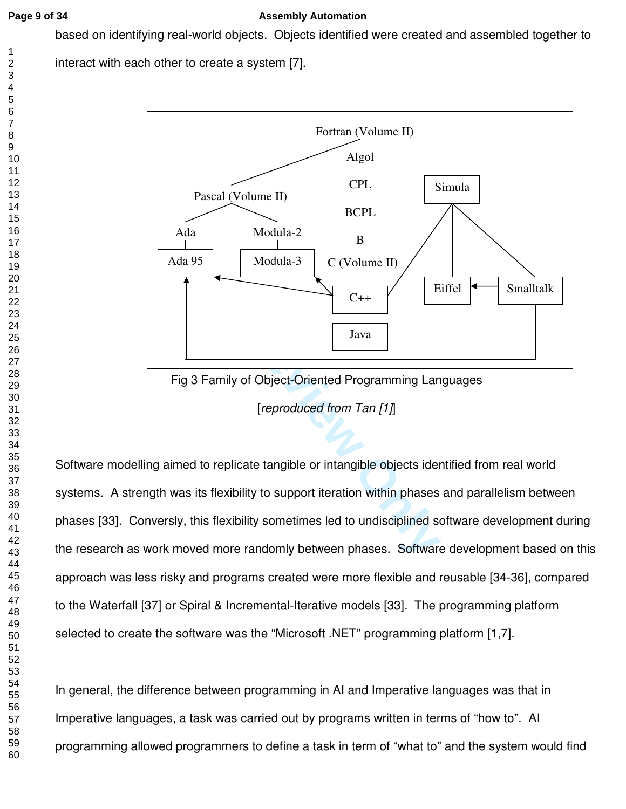## **Page 9 of 34 Assembly Automation**

based on identifying real-world objects. Objects identified were created and assembled together to

interact with each other to create a system [7].



Fig 3 Family of Object-Oriented Programming Languages [*reproduced from Tan [1]*]

Software modelling aimed to replicate tangible or intangible objects identified from real world systems. A strength was its flexibility to support iteration within phases and parallelism between phases [33]. Conversly, this flexibility sometimes led to undisciplined software development during the research as work moved more randomly between phases. Software development based on this approach was less risky and programs created were more flexible and reusable [34-36], compared to the Waterfall [37] or Spiral & Incremental-Iterative models [33]. The programming platform selected to create the software was the "Microsoft .NET" programming platform [1,7].

In general, the difference between programming in AI and Imperative languages was that in Imperative languages, a task was carried out by programs written in terms of "how to". AI programming allowed programmers to define a task in term of "what to" and the system would find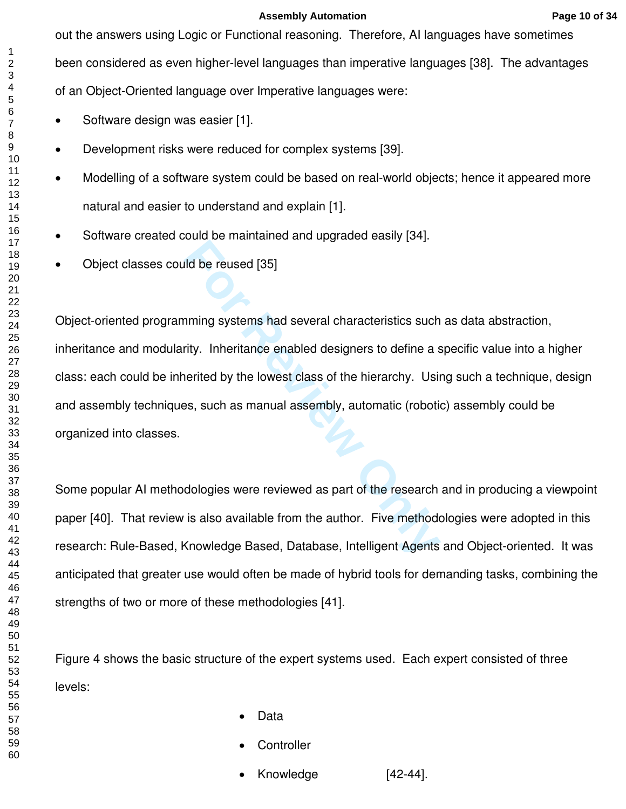**Assembly Automation Page 10 of 34**

out the answers using Logic or Functional reasoning. Therefore, AI languages have sometimes been considered as even higher-level languages than imperative languages [38]. The advantages of an Object-Oriented language over Imperative languages were:

- Software design was easier [1].
- Development risks were reduced for complex systems [39].
- Modelling of a software system could be based on real-world objects; hence it appeared more natural and easier to understand and explain [1].
- Software created could be maintained and upgraded easily [34].
- Object classes could be reused [35]

First Primalism Paint Py like Painty Paint<br>
Ild be reused [35]<br>
Ilming systems had several characteristics such<br>
rity. Inheritance enabled designers to define a s<br>
nerited by the lowest class of the hierarchy. Using<br>
Secti Object-oriented programming systems had several characteristics such as data abstraction, inheritance and modularity. Inheritance enabled designers to define a specific value into a higher class: each could be inherited by the lowest class of the hierarchy. Using such a technique, design and assembly techniques, such as manual assembly, automatic (robotic) assembly could be organized into classes.

Some popular AI methodologies were reviewed as part of the research and in producing a viewpoint paper [40]. That review is also available from the author. Five methodologies were adopted in this research: Rule-Based, Knowledge Based, Database, Intelligent Agents and Object-oriented. It was anticipated that greater use would often be made of hybrid tools for demanding tasks, combining the strengths of two or more of these methodologies [41].

Figure 4 shows the basic structure of the expert systems used. Each expert consisted of three levels:

- Data
- **Controller**
- Knowledge [42-44].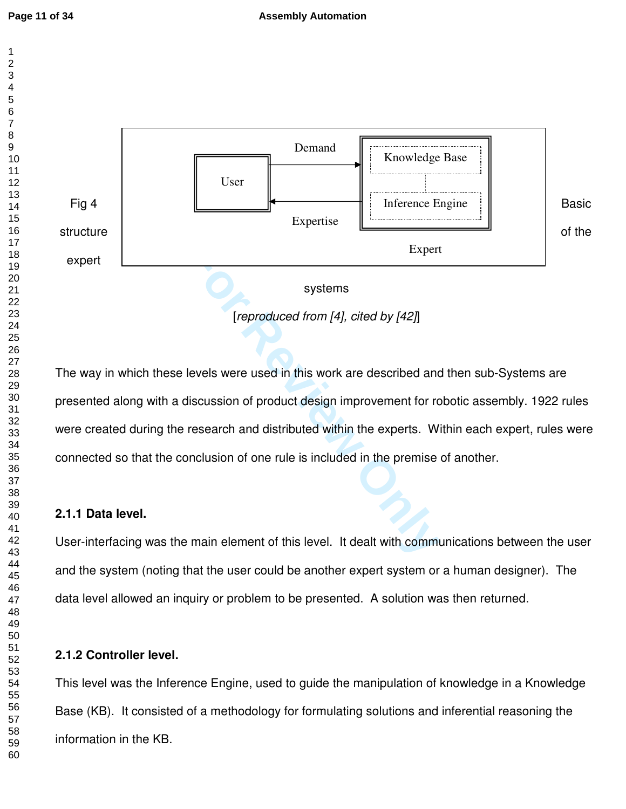$\mathbf{1}$  $\overline{2}$ 



The way in which these levels were used in this work are described and then sub-Systems are presented along with a discussion of product design improvement for robotic assembly. 1922 rules were created during the research and distributed within the experts. Within each expert, rules were connected so that the conclusion of one rule is included in the premise of another.

# **2.1.1 Data level.**

User-interfacing was the main element of this level. It dealt with communications between the user and the system (noting that the user could be another expert system or a human designer). The data level allowed an inquiry or problem to be presented. A solution was then returned.

# **2.1.2 Controller level.**

This level was the Inference Engine, used to guide the manipulation of knowledge in a Knowledge Base (KB). It consisted of a methodology for formulating solutions and inferential reasoning the information in the KB.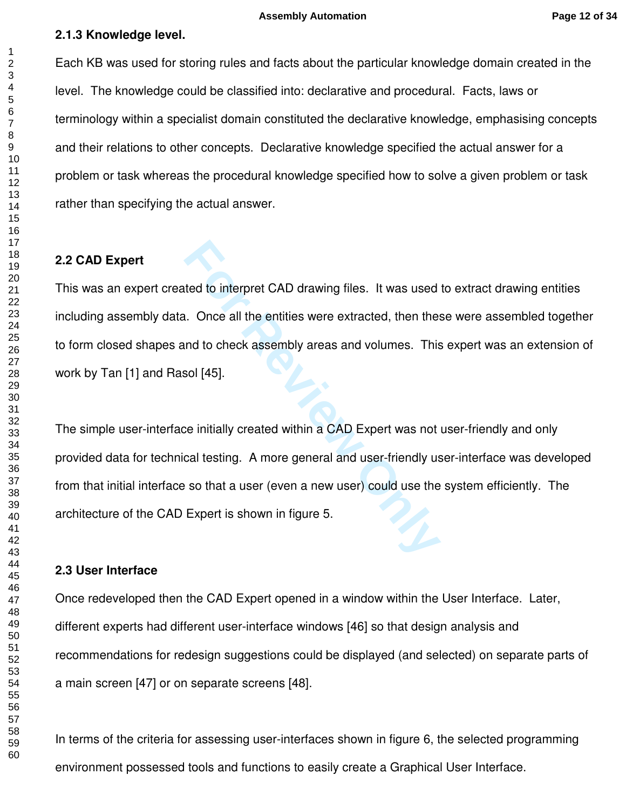### **2.1.3 Knowledge level.**

Each KB was used for storing rules and facts about the particular knowledge domain created in the level. The knowledge could be classified into: declarative and procedural. Facts, laws or terminology within a specialist domain constituted the declarative knowledge, emphasising concepts and their relations to other concepts. Declarative knowledge specified the actual answer for a problem or task whereas the procedural knowledge specified how to solve a given problem or task rather than specifying the actual answer.

# **2.2 CAD Expert**

This was an expert created to interpret CAD drawing files. It was used to extract drawing entities including assembly data. Once all the entities were extracted, then these were assembled together to form closed shapes and to check assembly areas and volumes. This expert was an extension of work by Tan [1] and Rasol [45].

**Formal Example 12 and Set Expert is shown in figure 5.**<br>**Formal Expertise Set Expert is solid to check assembly areas and volumes.** This<br>**Formal Expert is solid to check assembly areas and volumes.** This<br>**Formal Expert wa** The simple user-interface initially created within a CAD Expert was not user-friendly and only provided data for technical testing. A more general and user-friendly user-interface was developed from that initial interface so that a user (even a new user) could use the system efficiently. The architecture of the CAD Expert is shown in figure 5.

### **2.3 User Interface**

Once redeveloped then the CAD Expert opened in a window within the User Interface. Later, different experts had different user-interface windows [46] so that design analysis and recommendations for redesign suggestions could be displayed (and selected) on separate parts of a main screen [47] or on separate screens [48].

In terms of the criteria for assessing user-interfaces shown in figure 6, the selected programming environment possessed tools and functions to easily create a Graphical User Interface.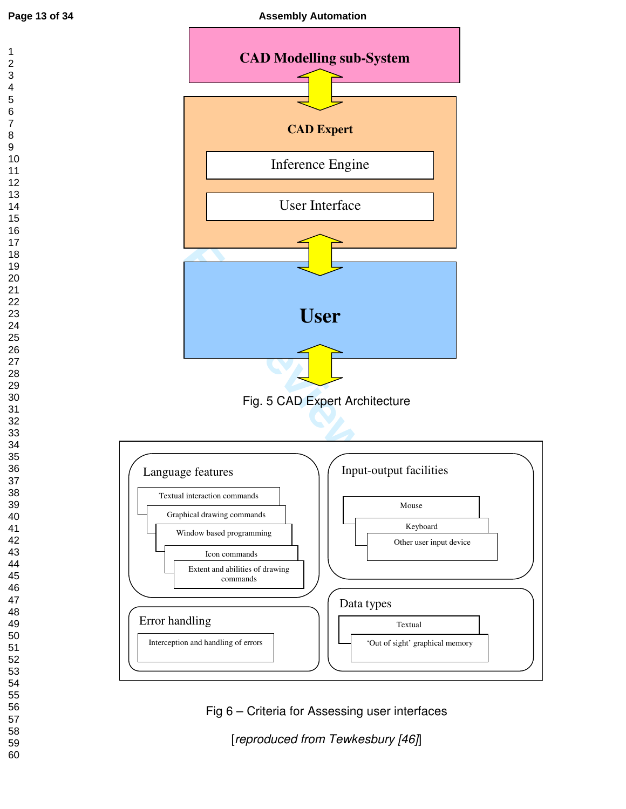$\mathbf{1}$  $\overline{2}$  $\overline{\mathbf{4}}$  $\overline{7}$ 



Fig 6 – Criteria for Assessing user interfaces [*reproduced from Tewkesbury [46]*]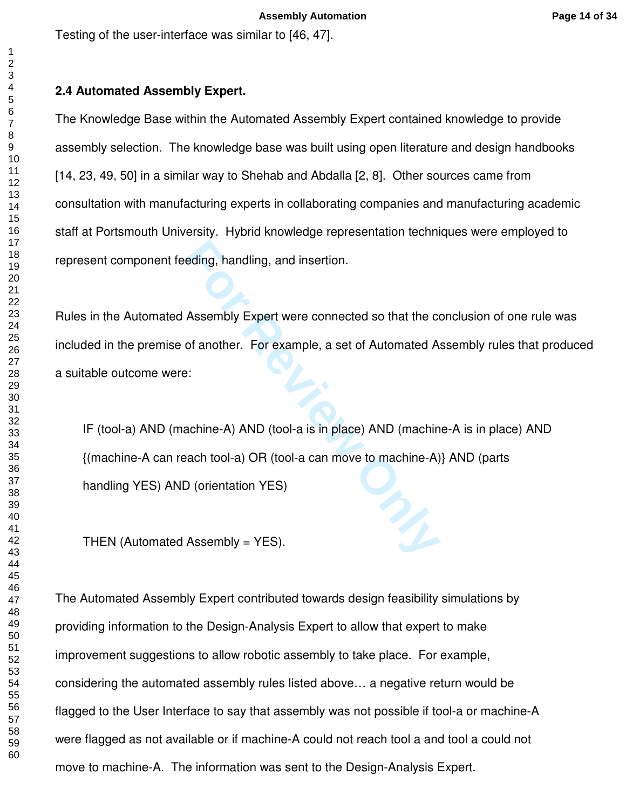Testing of the user-interface was similar to [46, 47].

#### $\overline{2}$  $\overline{7}$

# **2.4 Automated Assembly Expert.**

The Knowledge Base within the Automated Assembly Expert contained knowledge to provide assembly selection. The knowledge base was built using open literature and design handbooks [14, 23, 49, 50] in a similar way to Shehab and Abdalla [2, 8]. Other sources came from consultation with manufacturing experts in collaborating companies and manufacturing academic staff at Portsmouth University. Hybrid knowledge representation techniques were employed to represent component feeding, handling, and insertion.

Rules in the Automated Assembly Expert were connected so that the conclusion of one rule was included in the premise of another. For example, a set of Automated Assembly rules that produced a suitable outcome were:

eding, handling, and insertion.<br>
Assembly Expert were connected so that the cord another. For example, a set of Automated A:<br>
For example, a set of Automated A:<br>
For example, a set of Automated A:<br>
For example, a set of Au IF (tool-a) AND (machine-A) AND (tool-a is in place) AND (machine-A is in place) AND {(machine-A can reach tool-a) OR (tool-a can move to machine-A)} AND (parts handling YES) AND (orientation YES)

THEN (Automated Assembly = YES).

The Automated Assembly Expert contributed towards design feasibility simulations by providing information to the Design-Analysis Expert to allow that expert to make improvement suggestions to allow robotic assembly to take place. For example, considering the automated assembly rules listed above… a negative return would be flagged to the User Interface to say that assembly was not possible if tool-a or machine-A were flagged as not available or if machine-A could not reach tool a and tool a could not move to machine-A. The information was sent to the Design-Analysis Expert.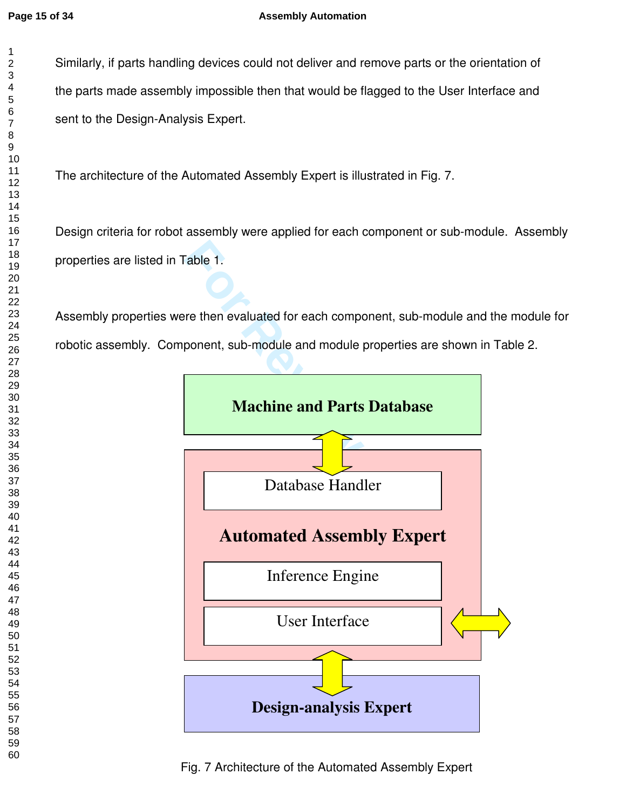### **Page 15 of 34 Assembly Automation**

Similarly, if parts handling devices could not deliver and remove parts or the orientation of the parts made assembly impossible then that would be flagged to the User Interface and sent to the Design-Analysis Expert.

The architecture of the Automated Assembly Expert is illustrated in Fig. 7.

Design criteria for robot assembly were applied for each component or sub-module. Assembly properties are listed in Table 1.

Assembly properties were then evaluated for each component, sub-module and the module for robotic assembly. Component, sub-module and module properties are shown in Table 2.

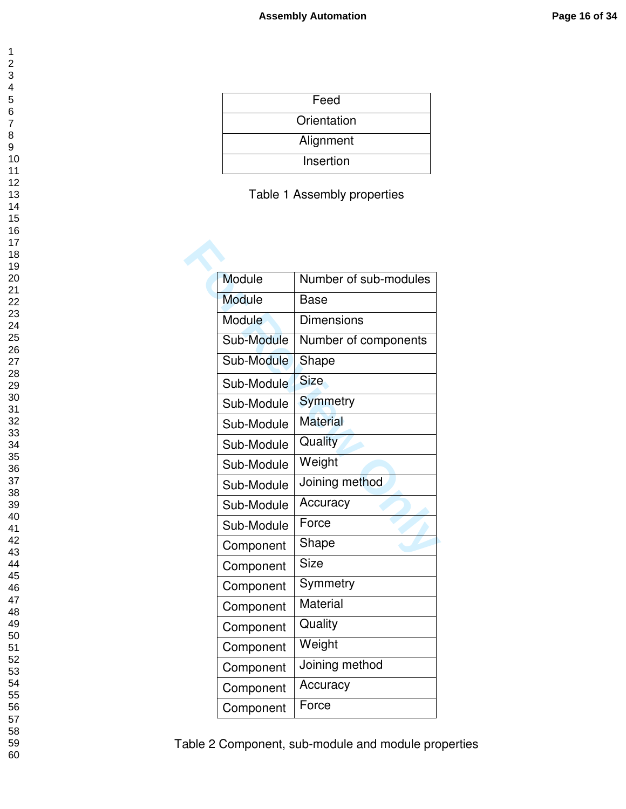| Feed        |
|-------------|
| Orientation |
| Alignment   |
| Insertion   |

| Module        | Number of sub-modules |
|---------------|-----------------------|
| <b>Module</b> | <b>Base</b>           |
| Module        | <b>Dimensions</b>     |
| Sub-Module    | Number of components  |
| Sub-Module    | Shape                 |
| Sub-Module    | <b>Size</b>           |
| Sub-Module    | Symmetry              |
| Sub-Module    | <b>Material</b>       |
| Sub-Module    | Quality               |
| Sub-Module    | Weight                |
| Sub-Module    | Joining method        |
| Sub-Module    | Accuracy              |
| Sub-Module    | Force                 |
| Component     | Shape                 |
| Component     | <b>Size</b>           |
| Component     | Symmetry              |
| Component     | Material              |
| Component     | Quality               |
| Component     | Weight                |
| Component     | Joining method        |
| Component     | Accuracy              |
| Component     | Force                 |

Table 2 Component, sub-module and module properties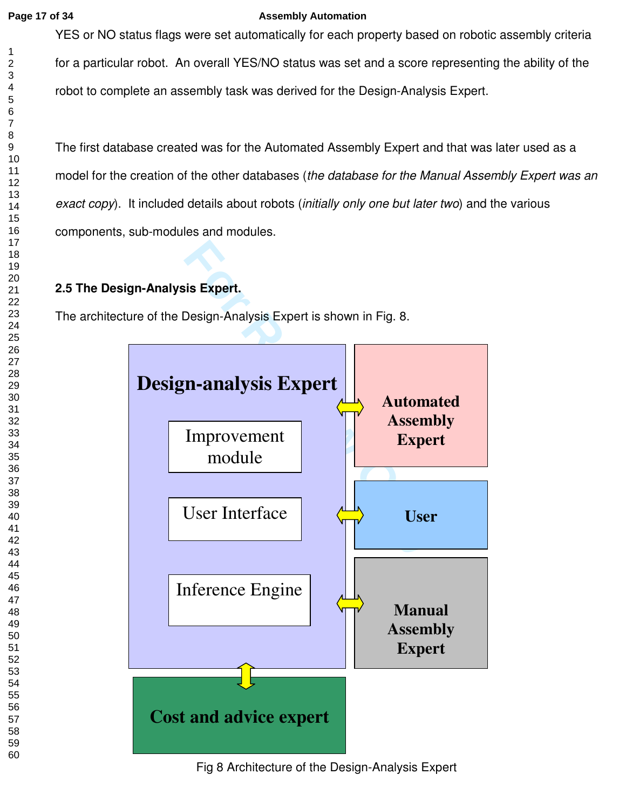### **Page 17 of 34 Assembly Automation**

YES or NO status flags were set automatically for each property based on robotic assembly criteria for a particular robot. An overall YES/NO status was set and a score representing the ability of the robot to complete an assembly task was derived for the Design-Analysis Expert.

The first database created was for the Automated Assembly Expert and that was later used as a model for the creation of the other databases (*the database for the Manual Assembly Expert was an exact copy*). It included details about robots (*initially only one but later two*) and the various components, sub-modules and modules.

# **2.5 The Design-Analysis Expert.**

The architecture of the Design-Analysis Expert is shown in Fig. 8.



Fig 8 Architecture of the Design-Analysis Expert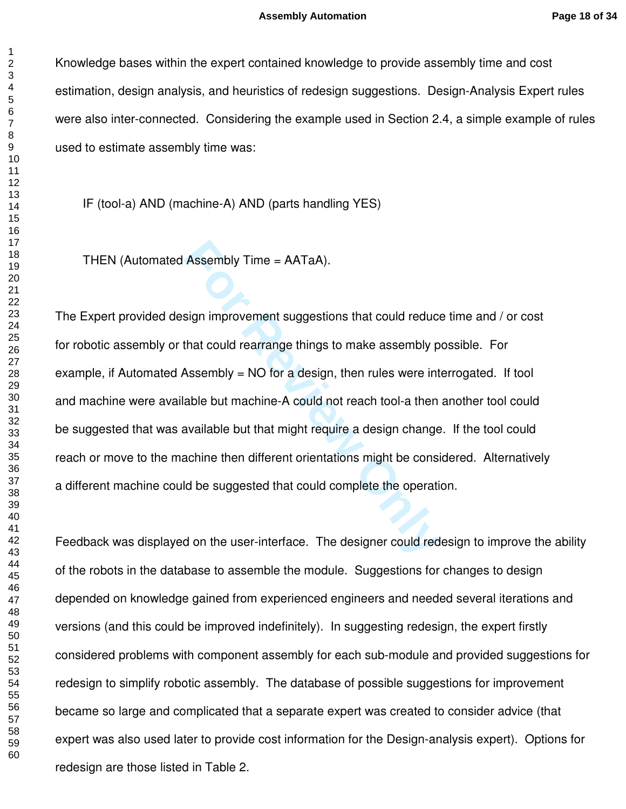Knowledge bases within the expert contained knowledge to provide assembly time and cost estimation, design analysis, and heuristics of redesign suggestions. Design-Analysis Expert rules were also inter-connected. Considering the example used in Section 2.4, a simple example of rules used to estimate assembly time was:

IF (tool-a) AND (machine-A) AND (parts handling YES)

THEN (Automated Assembly Time = AATaA).

Assembly Time = AATaA).<br>
Sign improvement suggestions that could reduce<br>
that could rearrange things to make assembly p<br>
Assembly = NO for a design, then rules were int<br>
able but machine-A could not reach tool-a then<br>
avai The Expert provided design improvement suggestions that could reduce time and / or cost for robotic assembly or that could rearrange things to make assembly possible. For example, if Automated Assembly = NO for a design, then rules were interrogated. If tool and machine were available but machine-A could not reach tool-a then another tool could be suggested that was available but that might require a design change. If the tool could reach or move to the machine then different orientations might be considered. Alternatively a different machine could be suggested that could complete the operation.

Feedback was displayed on the user-interface. The designer could redesign to improve the ability of the robots in the database to assemble the module. Suggestions for changes to design depended on knowledge gained from experienced engineers and needed several iterations and versions (and this could be improved indefinitely). In suggesting redesign, the expert firstly considered problems with component assembly for each sub-module and provided suggestions for redesign to simplify robotic assembly. The database of possible suggestions for improvement became so large and complicated that a separate expert was created to consider advice (that expert was also used later to provide cost information for the Design-analysis expert). Options for redesign are those listed in Table 2.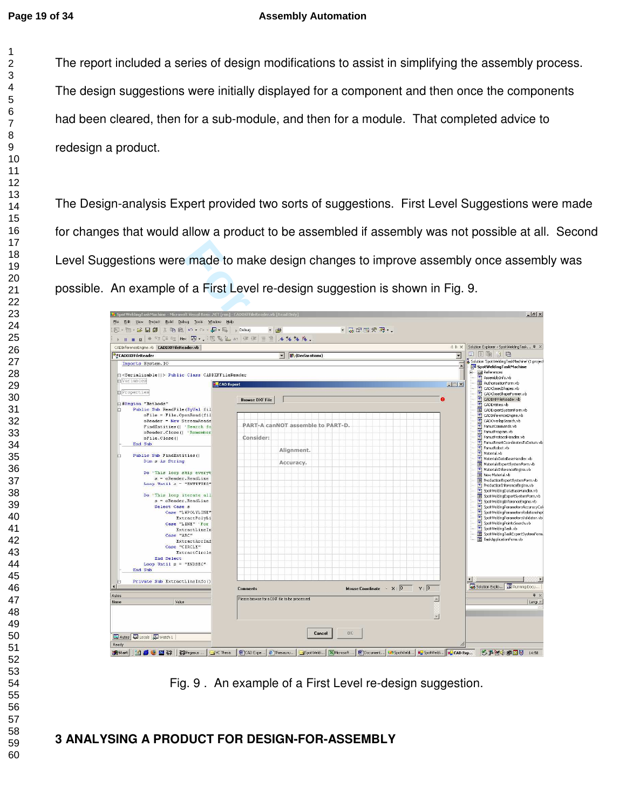$\mathbf{1}$  $\overline{2}$ 

### **Page 19 of 34 Assembly Automation**

The report included a series of design modifications to assist in simplifying the assembly process. The design suggestions were initially displayed for a component and then once the components had been cleared, then for a sub-module, and then for a module. That completed advice to redesign a product.

The Design-analysis Expert provided two sorts of suggestions. First Level Suggestions were made for changes that would allow a product to be assembled if assembly was not possible at all. Second Level Suggestions were made to make design changes to improve assembly once assembly was possible. An example of a First Level re-design suggestion is shown in Fig. 9.

| An example of a First Level re-design suggestion is shown in Fig. 9.                                                                                                                                |                                               |                 |                                                                                      |                |                                   |                         |                         |                                                                        |
|-----------------------------------------------------------------------------------------------------------------------------------------------------------------------------------------------------|-----------------------------------------------|-----------------|--------------------------------------------------------------------------------------|----------------|-----------------------------------|-------------------------|-------------------------|------------------------------------------------------------------------|
| SpotWeldingTaskMachine - Microsoft Visual Basic .NET [run] - CADDXFFileReader.vb [Read Only] "<br>Edit View Project Build Debug Tools Window Help<br>File<br>红· 袖 · 房間 # * 胎盘 の・0 · 月 · 馬   , Debug | $ th$                                         |                 |                                                                                      | $-2$ $-2$ $-1$ |                                   |                         |                         | $   \theta   \times  $                                                 |
| > Ⅱ ■ ■ → 在 【 E 生 Hex 网 - 、 网 配 出 as 年 读 三 全 / 4 % % % 。                                                                                                                                            |                                               |                 |                                                                                      |                |                                   |                         |                         | 4 ▷ × Solution Explorer - SpotWeldingTask P ×                          |
| CADDXFFileReader                                                                                                                                                                                    |                                               | v Declarations) |                                                                                      |                |                                   |                         | 회                       | 3 4 6 4 6                                                              |
| Imports System. IO                                                                                                                                                                                  |                                               |                 |                                                                                      |                |                                   |                         |                         | Solution 'SpotWeldingTaskMachine' (1 project                           |
|                                                                                                                                                                                                     |                                               |                 |                                                                                      |                |                                   |                         | $\blacktriangle$        | SpotWeldingTaskMachine<br><b>E @</b> References                        |
| G <serializable()> Public Class CADDXFFileReader<br/><b>d</b> Variables</serializable()>                                                                                                            |                                               |                 |                                                                                      |                |                                   |                         |                         | AssemblyInfo.vb                                                        |
|                                                                                                                                                                                                     | <b>CAD</b> Expert                             |                 |                                                                                      |                |                                   |                         | $ \Box$ $\times$ $\Box$ | AuthorisationForm.vb<br>CADClosedShapes.vb                             |
| Properties                                                                                                                                                                                          |                                               |                 |                                                                                      |                |                                   |                         |                         | 闣<br>CADCloseShapeFormer.vb                                            |
| #Region "Methods"                                                                                                                                                                                   | <b>Browse DXF File</b>                        |                 |                                                                                      |                |                                   | Ā                       |                         | CADDXFFileReader.vb<br>CADEntities.vb                                  |
| Public Sub ReadFile (ByVal fil                                                                                                                                                                      |                                               |                 |                                                                                      |                |                                   |                         |                         | <b>ER</b> CADExpertSystemForm.vb                                       |
| $ofile = File.OpenRead(fil)$<br>oReader = New StreamReade                                                                                                                                           |                                               |                 |                                                                                      |                |                                   |                         |                         | CADInferenceEngine.vb<br>CADOverlapSearch.vb                           |
| FindEntities() 'Search fo                                                                                                                                                                           |                                               |                 | PART-A canNOT assemble to PART-D.                                                    |                |                                   |                         |                         | FanucCommands.vb                                                       |
| oReader.Close() 'Remember                                                                                                                                                                           |                                               |                 |                                                                                      |                |                                   |                         |                         | FanucProgram.vb                                                        |
| oFile.Close()                                                                                                                                                                                       | Consider:                                     |                 |                                                                                      |                |                                   |                         |                         | FanucProtocolHandler.vb                                                |
| End Sub                                                                                                                                                                                             |                                               |                 |                                                                                      |                |                                   |                         |                         | FanucResetCoordinatesToDatum.vb<br>FanucRobot.vb                       |
| Public Sub FindEntities()                                                                                                                                                                           |                                               | Alignment.      |                                                                                      |                |                                   |                         |                         | Material.vb                                                            |
| Dim s As String                                                                                                                                                                                     |                                               |                 |                                                                                      |                |                                   |                         |                         | MaterialsDataBaseHandler.vb                                            |
|                                                                                                                                                                                                     |                                               | Accuracy.       |                                                                                      |                |                                   |                         |                         | MaterialsExpertSystemForm.vb<br>MaterialsInferenceEngine.vb            |
| Do 'This loop skip everyt                                                                                                                                                                           |                                               |                 |                                                                                      |                |                                   |                         |                         | <b>E New Material.vb</b>                                               |
| $s = o$ Reader. ReadLine                                                                                                                                                                            |                                               |                 |                                                                                      |                |                                   |                         |                         | Fig. ProductionExpertSystemForm.vb                                     |
| Loop Until $o$ - "ENTITIES"                                                                                                                                                                         |                                               |                 |                                                                                      |                |                                   |                         |                         | ProductionInterenceEngine.vb                                           |
| Do 'This loop iterate all                                                                                                                                                                           |                                               |                 |                                                                                      |                |                                   |                         |                         | SpotWeldingDataBaseHandler.vb<br>SpotWeldingExpertSystemForm.vb        |
| $s = oReader.FeadLine$                                                                                                                                                                              |                                               |                 |                                                                                      |                |                                   |                         |                         | SpotWeldingInferenceEngine.vb                                          |
| Select Case s                                                                                                                                                                                       |                                               |                 |                                                                                      |                |                                   |                         |                         | SpotWeldingParametersAccuracyCal                                       |
| Case "LWPOLYLINE"                                                                                                                                                                                   |                                               |                 |                                                                                      |                |                                   |                         |                         | SpotWeldingParametersRelationship<br>SpotWeldingParametersValidator.vb |
| ExtractPolvLi<br>Case "LINE" 'For                                                                                                                                                                   |                                               |                 |                                                                                      |                |                                   |                         |                         | spotWeldingPointsSearch.vb                                             |
| ExtractLineIn                                                                                                                                                                                       |                                               |                 |                                                                                      |                |                                   |                         |                         | SpotWeldingTask.vb                                                     |
| Case "ARC"                                                                                                                                                                                          |                                               |                 |                                                                                      |                |                                   |                         |                         | SpotWeldingTaskExpertSystemForm.                                       |
| ExtractArcInf                                                                                                                                                                                       |                                               |                 |                                                                                      |                |                                   |                         |                         | TaskApplicationForm.vb                                                 |
| Case "CIRCLE"<br>ExtractCircle                                                                                                                                                                      |                                               |                 |                                                                                      |                |                                   |                         |                         |                                                                        |
| End Select                                                                                                                                                                                          |                                               |                 |                                                                                      |                |                                   |                         |                         |                                                                        |
| Loop Until $s = "ENDSEC"$                                                                                                                                                                           |                                               |                 |                                                                                      |                |                                   |                         |                         |                                                                        |
| End Sub                                                                                                                                                                                             |                                               |                 |                                                                                      |                |                                   |                         |                         |                                                                        |
|                                                                                                                                                                                                     |                                               |                 |                                                                                      |                |                                   |                         |                         |                                                                        |
| Private Sub ExtractLineInfo()                                                                                                                                                                       |                                               |                 |                                                                                      |                |                                   |                         |                         | Solution Explo <b>But Running Docu</b>                                 |
|                                                                                                                                                                                                     | <b>Comments</b>                               |                 |                                                                                      |                | Mouse Coordinate - $X: 0 \t Y: 0$ |                         |                         | 早 ×                                                                    |
| Autos<br>Value.<br>Name                                                                                                                                                                             | Please browse for a DXF file to be processed. |                 |                                                                                      |                |                                   | $\sim$                  |                         | $L$ ang $=$                                                            |
|                                                                                                                                                                                                     |                                               |                 |                                                                                      |                |                                   |                         |                         |                                                                        |
|                                                                                                                                                                                                     |                                               |                 |                                                                                      |                |                                   |                         |                         |                                                                        |
|                                                                                                                                                                                                     |                                               |                 |                                                                                      |                |                                   | $\overline{\mathbf{v}}$ |                         |                                                                        |
|                                                                                                                                                                                                     |                                               |                 |                                                                                      |                |                                   |                         |                         |                                                                        |
| Autos & Locals & Watch 1                                                                                                                                                                            |                                               |                 | <b>BK</b><br>Cancel                                                                  |                |                                   |                         |                         |                                                                        |
|                                                                                                                                                                                                     |                                               |                 |                                                                                      |                |                                   |                         |                         |                                                                        |
| Ready                                                                                                                                                                                               |                                               |                 | 图 CAD Expe @ Thesauru SpotWeld 图 Microsoft  图 Document @ SpotWeld na SpotWeld na Exp |                |                                   |                         |                         | 5 严肃(国同) 14:58                                                         |
| <b>B</b> Start<br><b>1000</b><br><b>NEW Conduction</b> Pregasus <b>J</b> YC Thesis                                                                                                                  |                                               |                 |                                                                                      |                |                                   |                         |                         |                                                                        |

Fig. 9 . An example of a First Level re-design suggestion.

# **3 ANALYSING A PRODUCT FOR DESIGN-FOR-ASSEMBLY**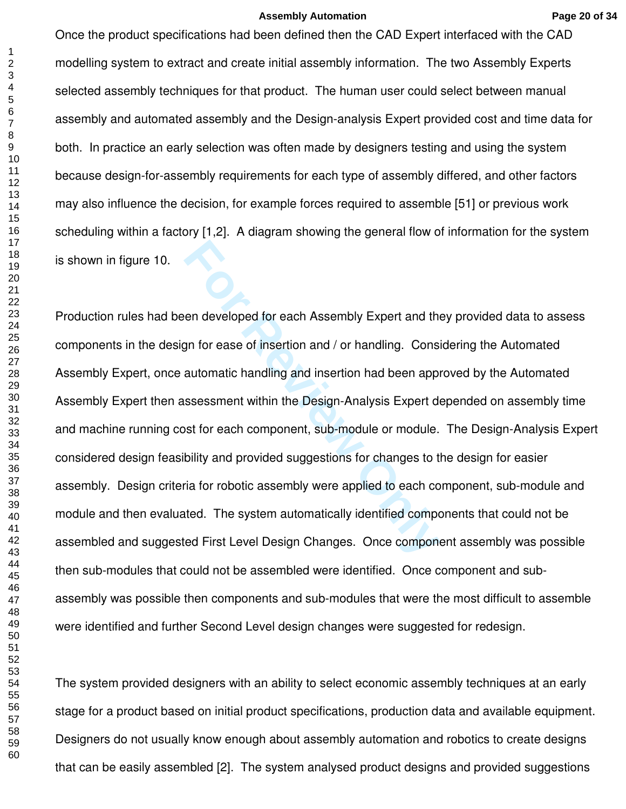#### **Assembly Automation Page 20 of 34**

Once the product specifications had been defined then the CAD Expert interfaced with the CAD modelling system to extract and create initial assembly information. The two Assembly Experts selected assembly techniques for that product. The human user could select between manual assembly and automated assembly and the Design-analysis Expert provided cost and time data for both. In practice an early selection was often made by designers testing and using the system because design-for-assembly requirements for each type of assembly differed, and other factors may also influence the decision, for example forces required to assemble [51] or previous work scheduling within a factory [1,2]. A diagram showing the general flow of information for the system is shown in figure 10.

en developed for each Assembly Expert and the<br>gn for ease of insertion and / or handling. Consi<br>automatic handling and insertion had been appr<br>ssessment within the Design-Analysis Expert de<br>st for each component, sub-modul Production rules had been developed for each Assembly Expert and they provided data to assess components in the design for ease of insertion and / or handling. Considering the Automated Assembly Expert, once automatic handling and insertion had been approved by the Automated Assembly Expert then assessment within the Design-Analysis Expert depended on assembly time and machine running cost for each component, sub-module or module. The Design-Analysis Expert considered design feasibility and provided suggestions for changes to the design for easier assembly. Design criteria for robotic assembly were applied to each component, sub-module and module and then evaluated. The system automatically identified components that could not be assembled and suggested First Level Design Changes. Once component assembly was possible then sub-modules that could not be assembled were identified. Once component and subassembly was possible then components and sub-modules that were the most difficult to assemble were identified and further Second Level design changes were suggested for redesign.

The system provided designers with an ability to select economic assembly techniques at an early stage for a product based on initial product specifications, production data and available equipment. Designers do not usually know enough about assembly automation and robotics to create designs that can be easily assembled [2]. The system analysed product designs and provided suggestions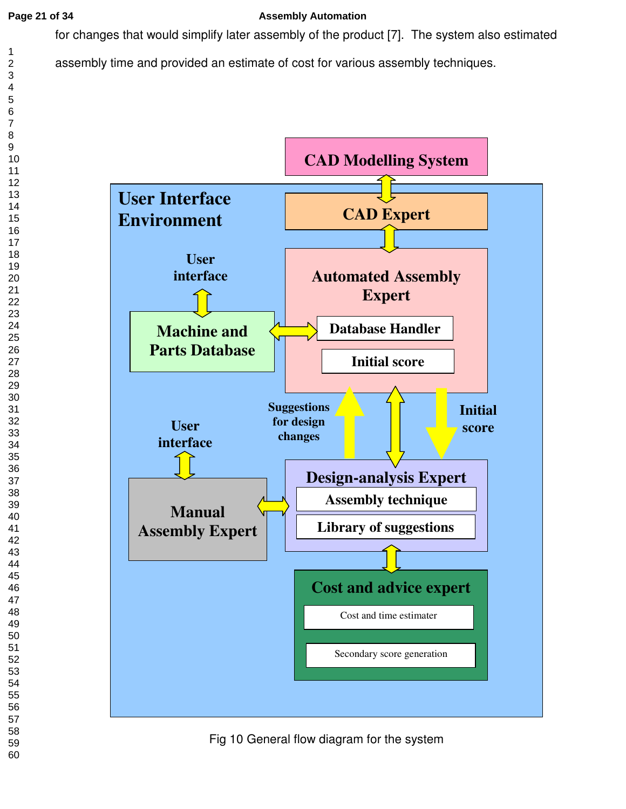# **Page 21 of 34 Assembly Automation**

for changes that would simplify later assembly of the product [7]. The system also estimated





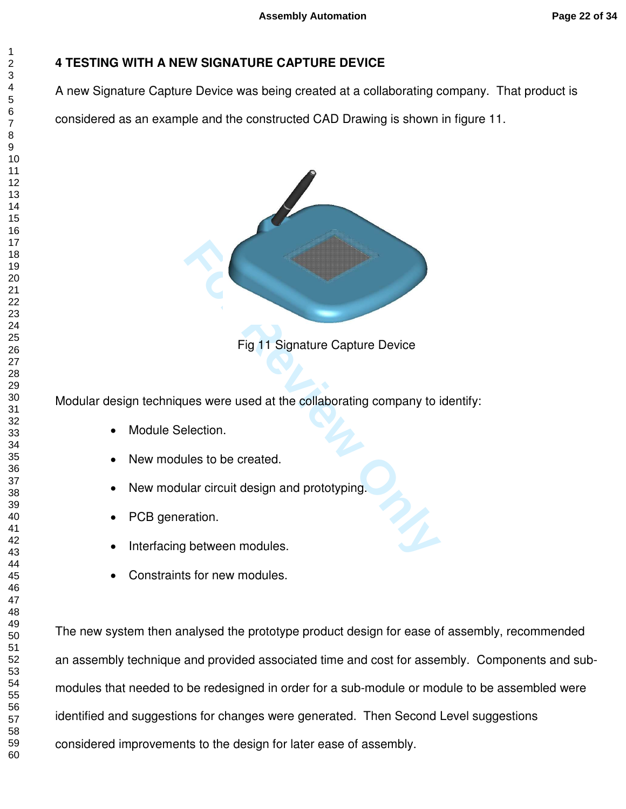# **4 TESTING WITH A NEW SIGNATURE CAPTURE DEVICE**

A new Signature Capture Device was being created at a collaborating company. That product is

considered as an example and the constructed CAD Drawing is shown in figure 11.



Fig 11 Signature Capture Device

Modular design techniques were used at the collaborating company to identify:

- Module Selection.
- New modules to be created.
- New modular circuit design and prototyping.
- PCB generation.
- Interfacing between modules.
- Constraints for new modules.

The new system then analysed the prototype product design for ease of assembly, recommended an assembly technique and provided associated time and cost for assembly. Components and submodules that needed to be redesigned in order for a sub-module or module to be assembled were identified and suggestions for changes were generated. Then Second Level suggestions considered improvements to the design for later ease of assembly.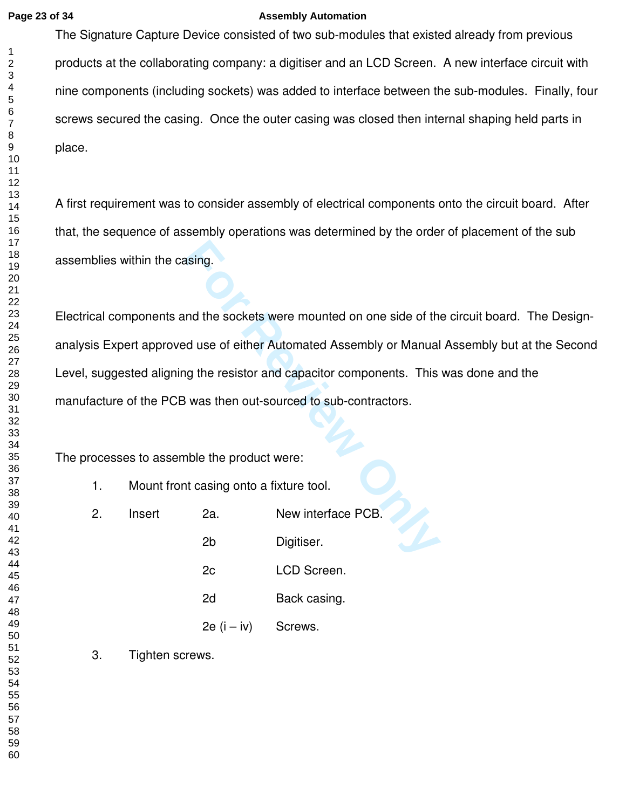### **Page 23 of 34 Assembly Automation**

The Signature Capture Device consisted of two sub-modules that existed already from previous products at the collaborating company: a digitiser and an LCD Screen. A new interface circuit with nine components (including sockets) was added to interface between the sub-modules. Finally, four screws secured the casing. Once the outer casing was closed then internal shaping held parts in place.

A first requirement was to consider assembly of electrical components onto the circuit board. After that, the sequence of assembly operations was determined by the order of placement of the sub assemblies within the casing.

For Review of the sockets were mounted on one side of the<br> **Formular**<br> **For Review Only and Secure Automated Assembly or Manual<br>
<b>For Review Only 2** and the product were:<br> **For Review Automate Automates Act Act Act Act Act** Electrical components and the sockets were mounted on one side of the circuit board. The Designanalysis Expert approved use of either Automated Assembly or Manual Assembly but at the Second Level, suggested aligning the resistor and capacitor components. This was done and the manufacture of the PCB was then out-sourced to sub-contractors.

The processes to assemble the product were:

| Mount front casing onto a fixture tool. |  |
|-----------------------------------------|--|
|-----------------------------------------|--|

| 2. | Insert | 2a.            | New interface PCB. |
|----|--------|----------------|--------------------|
|    |        | 2 <sub>b</sub> | Digitiser.         |
|    |        | 2c             | LCD Screen.        |
|    |        | 2d             | Back casing.       |
|    |        | $2e$ (i – iv)  | Screws.            |
|    |        |                |                    |

3. Tighten screws.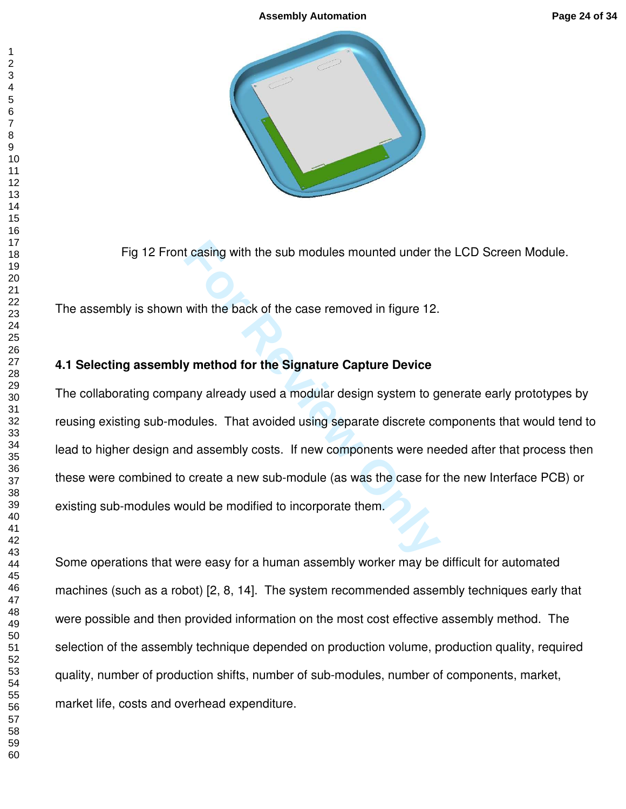

Fig 12 Front casing with the sub modules mounted under the LCD Screen Module.

The assembly is shown with the back of the case removed in figure 12.

# **4.1 Selecting assembly method for the Signature Capture Device**

Fig 12 Front casing with the sub modules mounted under the Hylis is shown with the back of the case removed in figure 12.<br> **Example 12.**<br> **Example 12.**<br> **Example 12.**<br> **Example 12.**<br> **Example 12.**<br> **Example 2.**<br> **Example 2** The collaborating company already used a modular design system to generate early prototypes by reusing existing sub-modules. That avoided using separate discrete components that would tend to lead to higher design and assembly costs. If new components were needed after that process then these were combined to create a new sub-module (as was the case for the new Interface PCB) or existing sub-modules would be modified to incorporate them.

Some operations that were easy for a human assembly worker may be difficult for automated machines (such as a robot) [2, 8, 14]. The system recommended assembly techniques early that were possible and then provided information on the most cost effective assembly method. The selection of the assembly technique depended on production volume, production quality, required quality, number of production shifts, number of sub-modules, number of components, market, market life, costs and overhead expenditure.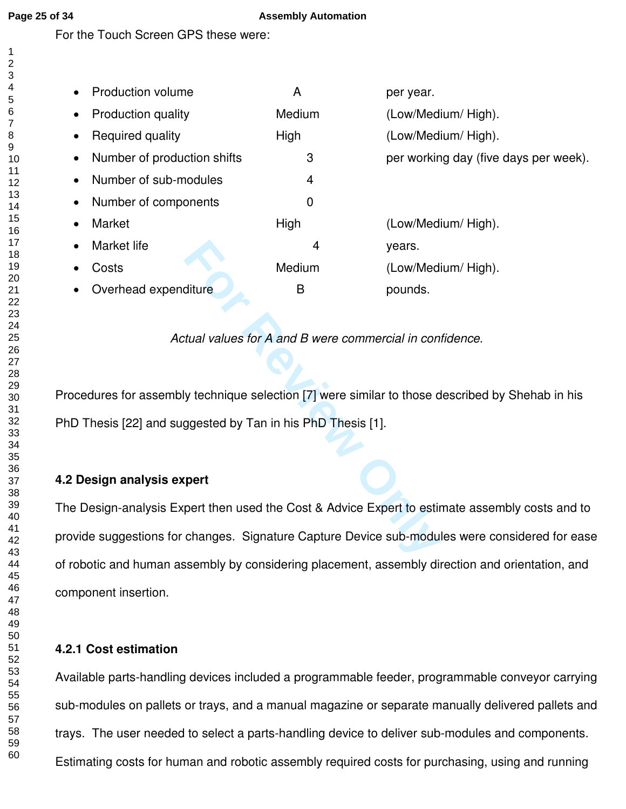$\mathbf{1}$ 

### **Page 25 of 34 Assembly Automation**

For the Touch Screen GPS these were:

| <b>Production volume</b>                 | A      | per year.                             |
|------------------------------------------|--------|---------------------------------------|
| <b>Production quality</b><br>$\bullet$   | Medium | (Low/Medium/ High).                   |
| Required quality<br>$\bullet$            | High   | (Low/Medium/ High).                   |
| Number of production shifts<br>$\bullet$ | 3      | per working day (five days per week). |
| Number of sub-modules<br>$\bullet$       | 4      |                                       |
| Number of components<br>$\bullet$        | 0      |                                       |
| Market<br>$\bullet$                      | High   | (Low/Medium/ High).                   |
| Market life<br>$\bullet$                 | 4      | years.                                |
| Costs                                    | Medium | (Low/Medium/ High).                   |
| Overhead expenditure                     | B      | pounds.                               |

*Actual values for A and B were commercial in confidence*.

Procedures for assembly technique selection [7] were similar to those described by Shehab in his PhD Thesis [22] and suggested by Tan in his PhD Thesis [1].

# **4.2 Design analysis expert**

4 years.<br>
Medium (Low/Med<br>
diture B pounds.<br>
tual values for A and B were commercial in con<br>
y technique selection [7] were similar to those of<br>
ggested by Tan in his PhD Thesis [1].<br> **Fort** then used the Cost & Advice Exp The Design-analysis Expert then used the Cost & Advice Expert to estimate assembly costs and to provide suggestions for changes. Signature Capture Device sub-modules were considered for ease of robotic and human assembly by considering placement, assembly direction and orientation, and component insertion.

# **4.2.1 Cost estimation**

Available parts-handling devices included a programmable feeder, programmable conveyor carrying sub-modules on pallets or trays, and a manual magazine or separate manually delivered pallets and trays. The user needed to select a parts-handling device to deliver sub-modules and components. Estimating costs for human and robotic assembly required costs for purchasing, using and running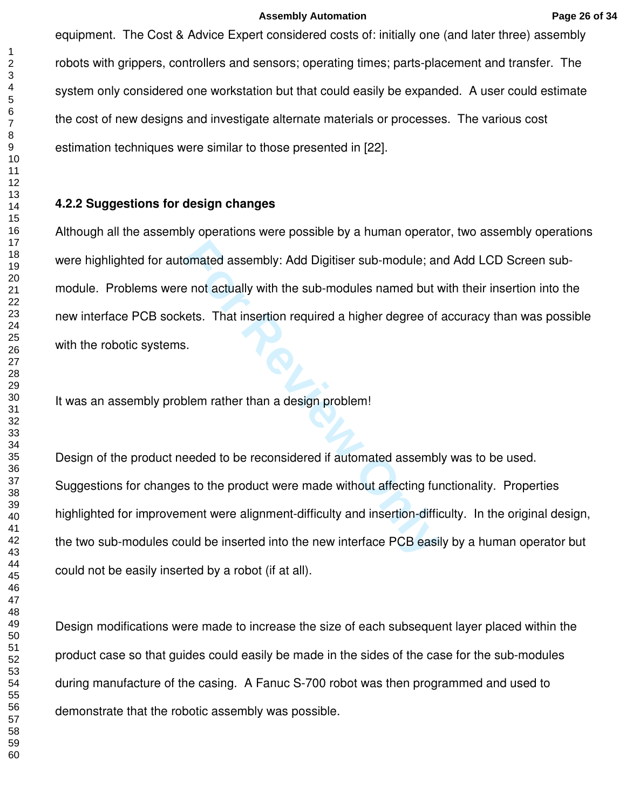equipment. The Cost & Advice Expert considered costs of: initially one (and later three) assembly robots with grippers, controllers and sensors; operating times; parts-placement and transfer. The system only considered one workstation but that could easily be expanded. A user could estimate the cost of new designs and investigate alternate materials or processes. The various cost estimation techniques were similar to those presented in [22].

# **4.2.2 Suggestions for design changes**

For Produksian and Digitiser sub-module; an<br>
Formulation in a sub-modules named but v<br>
Here is. That insertion required a higher degree of<br>
Formulation in a design problem!<br>
Formulation in a design problem!<br>
Formulation in Although all the assembly operations were possible by a human operator, two assembly operations were highlighted for automated assembly: Add Digitiser sub-module; and Add LCD Screen submodule. Problems were not actually with the sub-modules named but with their insertion into the new interface PCB sockets. That insertion required a higher degree of accuracy than was possible with the robotic systems.

It was an assembly problem rather than a design problem!

Design of the product needed to be reconsidered if automated assembly was to be used. Suggestions for changes to the product were made without affecting functionality. Properties highlighted for improvement were alignment-difficulty and insertion-difficulty. In the original design, the two sub-modules could be inserted into the new interface PCB easily by a human operator but could not be easily inserted by a robot (if at all).

Design modifications were made to increase the size of each subsequent layer placed within the product case so that guides could easily be made in the sides of the case for the sub-modules during manufacture of the casing. A Fanuc S-700 robot was then programmed and used to demonstrate that the robotic assembly was possible.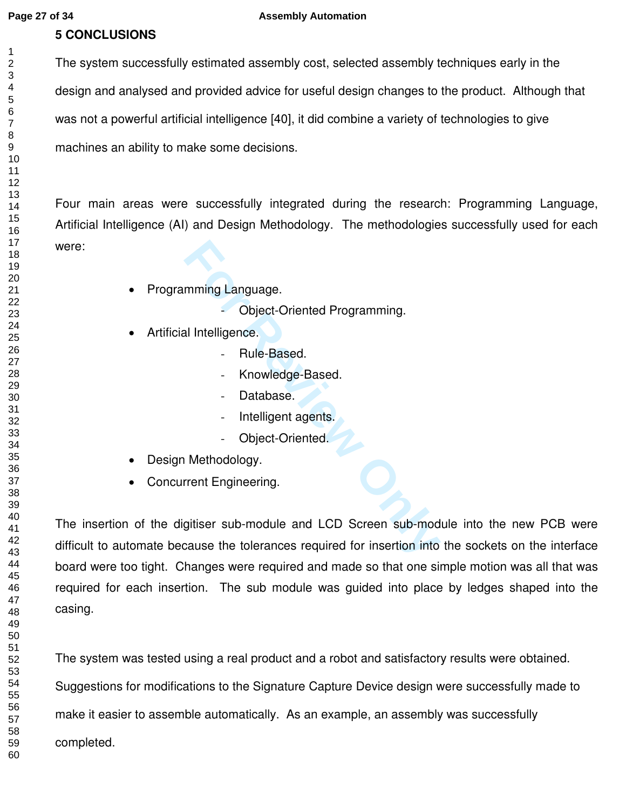### **Page 27 of 34 Assembly Automation**

# **5 CONCLUSIONS**

The system successfully estimated assembly cost, selected assembly techniques early in the design and analysed and provided advice for useful design changes to the product. Although that was not a powerful artificial intelligence [40], it did combine a variety of technologies to give machines an ability to make some decisions.

Four main areas were successfully integrated during the research: Programming Language, Artificial Intelligence (AI) and Design Methodology. The methodologies successfully used for each were:

- Programming Language.
	- Object-Oriented Programming.
- Artificial Intelligence.
	- Rule-Based.
	- Knowledge-Based.
	- Database.
	- Intelligent agents.
	- Object-Oriented.
- Design Methodology.
- Concurrent Engineering.

mming Language.<br>
- Object-Oriented Programming.<br>
al Intelligence.<br>
- Rule-Based.<br>
- Knowledge-Based.<br>
- Database.<br>
- Intelligent agents.<br>
- Object-Oriented.<br>
Methodology.<br>
Frent Engineering.<br>
gitiser sub-module and LCD Scr The insertion of the digitiser sub-module and LCD Screen sub-module into the new PCB were difficult to automate because the tolerances required for insertion into the sockets on the interface board were too tight. Changes were required and made so that one simple motion was all that was required for each insertion. The sub module was guided into place by ledges shaped into the casing.

The system was tested using a real product and a robot and satisfactory results were obtained. Suggestions for modifications to the Signature Capture Device design were successfully made to make it easier to assemble automatically. As an example, an assembly was successfully completed.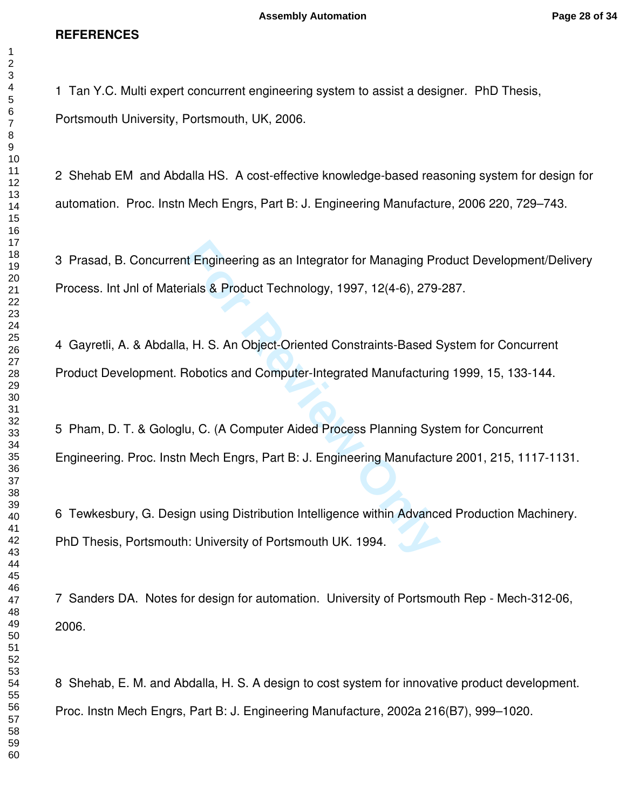### **REFERENCES**

1 Tan Y.C. Multi expert concurrent engineering system to assist a designer. PhD Thesis, Portsmouth University, Portsmouth, UK, 2006.

2 Shehab EM and Abdalla HS. A cost-effective knowledge-based reasoning system for design for automation. Proc. Instn Mech Engrs, Part B: J. Engineering Manufacture, 2006 220, 729–743.

3 Prasad, B. Concurrent Engineering as an Integrator for Managing Product Development/Delivery Process. Int Jnl of Materials & Product Technology, 1997, 12(4-6), 279-287.

4 Gayretli, A. & Abdalla, H. S. An Object-Oriented Constraints-Based System for Concurrent Product Development. Robotics and Computer-Integrated Manufacturing 1999, 15, 133-144.

5 Pham, D. T. & Gologlu, C. (A Computer Aided Process Planning System for Concurrent Engineering. Proc. Instn Mech Engrs, Part B: J. Engineering Manufacture 2001, 215, 1117-1131.

It Engineering as an Integrator for Managing Pre<br>
Fials & Product Technology, 1997, 12(4-6), 279-<br>
1, H. S. An Object-Oriented Constraints-Based S<br>
Robotics and Computer-Integrated Manufacturin<br>
1, C. (A Computer Aided Pro 6 Tewkesbury, G. Design using Distribution Intelligence within Advanced Production Machinery. PhD Thesis, Portsmouth: University of Portsmouth UK. 1994.

7 Sanders DA. Notes for design for automation. University of Portsmouth Rep - Mech-312-06, 2006.

8 Shehab, E. M. and Abdalla, H. S. A design to cost system for innovative product development. Proc. Instn Mech Engrs, Part B: J. Engineering Manufacture, 2002a 216(B7), 999–1020.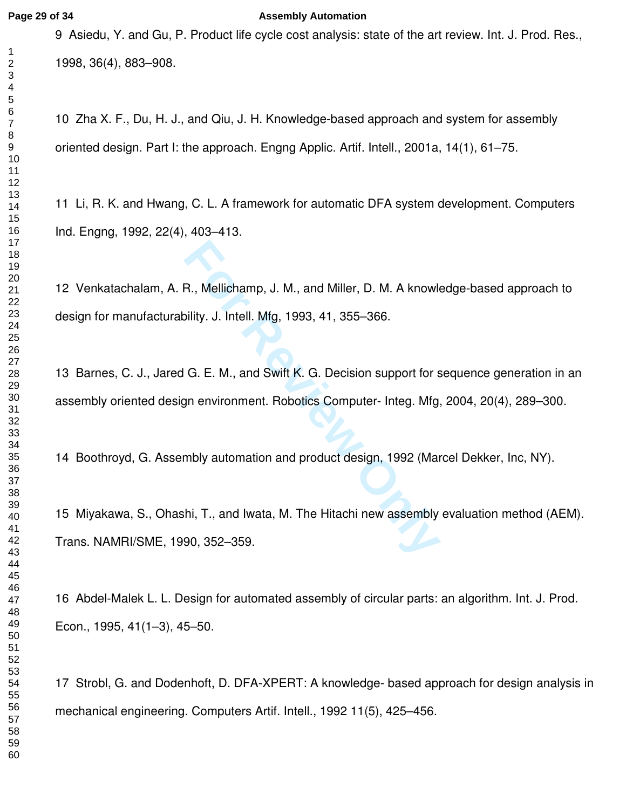#### **Page 29 of 34 Assembly Automation**

9 Asiedu, Y. and Gu, P. Product life cycle cost analysis: state of the art review. Int. J. Prod. Res., 1998, 36(4), 883–908.

10 Zha X. F., Du, H. J., and Qiu, J. H. Knowledge-based approach and system for assembly oriented design. Part I: the approach. Engng Applic. Artif. Intell., 2001a, 14(1), 61–75.

11 Li, R. K. and Hwang, C. L. A framework for automatic DFA system development. Computers Ind. Engng, 1992, 22(4), 403–413.

12 Venkatachalam, A. R., Mellichamp, J. M., and Miller, D. M. A knowledge-based approach to design for manufacturability. J. Intell. Mfg, 1993, 41, 355–366.

R., Mellichamp, J. M., and Miller, D. M. A knowler<br>
bility. J. Intell. Mfg, 1993, 41, 355–366.<br>
G. E. M., and Swift K. G. Decision support for s<br>
gn environment. Robotics Computer- Integ. Mfg.<br>
mbly automation and product 13 Barnes, C. J., Jared G. E. M., and Swift K. G. Decision support for sequence generation in an assembly oriented design environment. Robotics Computer- Integ. Mfg, 2004, 20(4), 289–300.

14 Boothroyd, G. Assembly automation and product design, 1992 (Marcel Dekker, Inc, NY).

15 Miyakawa, S., Ohashi, T., and Iwata, M. The Hitachi new assembly evaluation method (AEM). Trans. NAMRI/SME, 1990, 352–359.

16 Abdel-Malek L. L. Design for automated assembly of circular parts: an algorithm. Int. J. Prod. Econ., 1995, 41(1–3), 45–50.

17 Strobl, G. and Dodenhoft, D. DFA-XPERT: A knowledge- based approach for design analysis in mechanical engineering. Computers Artif. Intell., 1992 11(5), 425–456.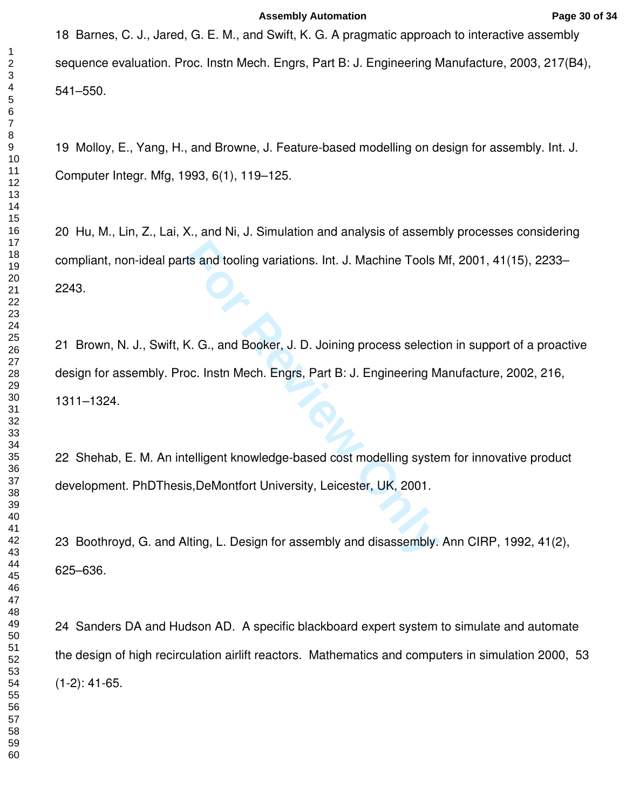18 Barnes, C. J., Jared, G. E. M., and Swift, K. G. A pragmatic approach to interactive assembly sequence evaluation. Proc. Instn Mech. Engrs, Part B: J. Engineering Manufacture, 2003, 217(B4), 541–550.

19 Molloy, E., Yang, H., and Browne, J. Feature-based modelling on design for assembly. Int. J. Computer Integr. Mfg, 1993, 6(1), 119–125.

20 Hu, M., Lin, Z., Lai, X., and Ni, J. Simulation and analysis of assembly processes considering compliant, non-ideal parts and tooling variations. Int. J. Machine Tools Mf, 2001, 41(15), 2233– 2243.

The and tooling variations. Int. J. Machine Tools I<br>K. G., and Booker, J. D. Joining process selection<br>C. Insth Mech. Engrs, Part B: J. Engineering M<br>telligent knowledge-based cost modelling syste<br>is,DeMontfort University, 21 Brown, N. J., Swift, K. G., and Booker, J. D. Joining process selection in support of a proactive design for assembly. Proc. Instn Mech. Engrs, Part B: J. Engineering Manufacture, 2002, 216, 1311–1324.

22 Shehab, E. M. An intelligent knowledge-based cost modelling system for innovative product development. PhDThesis,DeMontfort University, Leicester, UK, 2001.

23 Boothroyd, G. and Alting, L. Design for assembly and disassembly. Ann CIRP, 1992, 41(2), 625–636.

24 Sanders DA and Hudson AD. [A specific blackboard expert system to simulate and automate](http://apps.isiknowledge.com/WoS/CIW.cgi?SID=U2ImMLNDL5OPIIPIbJB&Func=Abstract&doc=3/9)  [the design of high recirculation airlift reactors.](http://apps.isiknowledge.com/WoS/CIW.cgi?SID=U2ImMLNDL5OPIIPIbJB&Func=Abstract&doc=3/9) Mathematics and computers in simulation 2000, 53 (1-2): 41-65.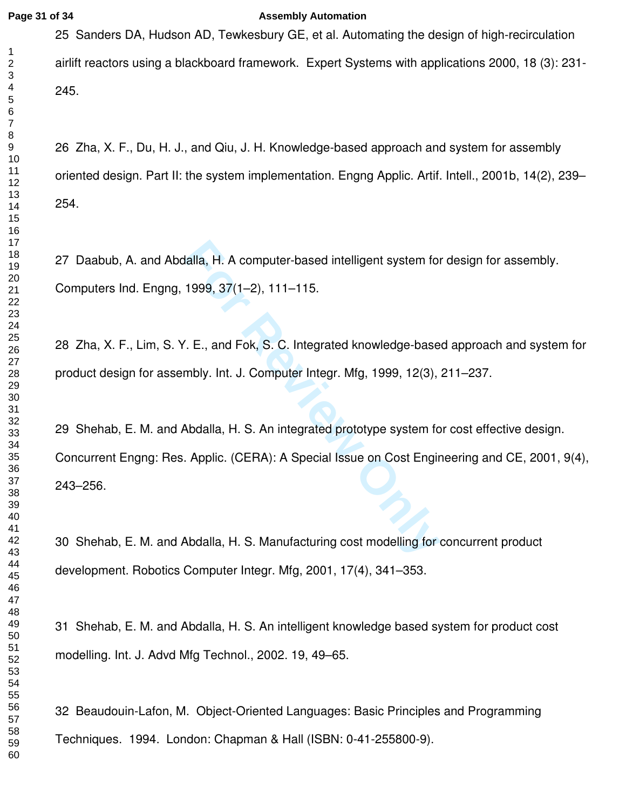#### **Page 31 of 34 Assembly Automation**

25 Sanders DA, Hudson AD, Tewkesbury GE, et al. [Automating the design of high-recirculation](http://apps.isiknowledge.com/WoS/CIW.cgi?SID=U2ImMLNDL5OPIIPIbJB&Func=Abstract&doc=3/10)  [airlift reactors using a blackboard framework.](http://apps.isiknowledge.com/WoS/CIW.cgi?SID=U2ImMLNDL5OPIIPIbJB&Func=Abstract&doc=3/10) Expert Systems with applications 2000, 18 (3): 231- 245.

26 Zha, X. F., Du, H. J., and Qiu, J. H. Knowledge-based approach and system for assembly oriented design. Part II: the system implementation. Engng Applic. Artif. Intell., 2001b, 14(2), 239– 254.

27 Daabub, A. and Abdalla, H. A computer-based intelligent system for design for assembly. Computers Ind. Engng, 1999, 37(1–2), 111–115.

28 Zha, X. F., Lim, S. Y. E., and Fok, S. C. Integrated knowledge-based approach and system for product design for assembly. Int. J. Computer Integr. Mfg, 1999, 12(3), 211–237.

Ialla, H. A computer-based intelligent system for<br>
1999, 37(1–2), 111–115.<br>
T. E., and Fok, S. C. Integrated knowledge-base<br>
Holy. Int. J. Computer Integr. Mfg, 1999, 12(3),<br>
Abdalla, H. S. An integrated prototype system f 29 Shehab, E. M. and Abdalla, H. S. An integrated prototype system for cost effective design. Concurrent Engng: Res. Applic. (CERA): A Special Issue on Cost Engineering and CE, 2001, 9(4), 243–256.

30 Shehab, E. M. and Abdalla, H. S. Manufacturing cost modelling for concurrent product development. Robotics Computer Integr. Mfg, 2001, 17(4), 341–353.

31 Shehab, E. M. and Abdalla, H. S. An intelligent knowledge based system for product cost modelling. Int. J. Advd Mfg Technol., 2002. 19, 49–65.

32 Beaudouin-Lafon, M. Object-Oriented Languages: Basic Principles and Programming Techniques. 1994. London: Chapman & Hall (ISBN: 0-41-255800-9).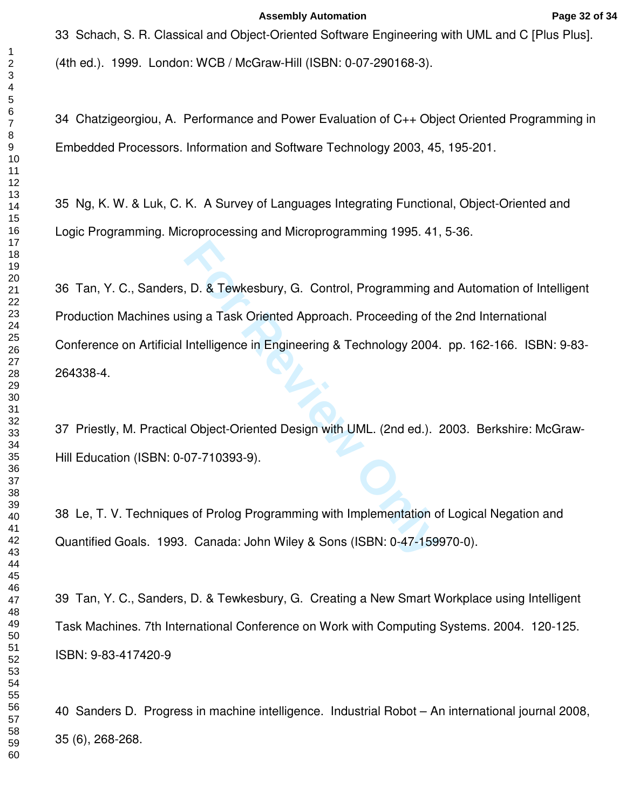33 Schach, S. R. Classical and Object-Oriented Software Engineering with UML and C [Plus Plus]. (4th ed.). 1999. London: WCB / McGraw-Hill (ISBN: 0-07-290168-3).

34 Chatzigeorgiou, A. Performance and Power Evaluation of C++ Object Oriented Programming in Embedded Processors. Information and Software Technology 2003, 45, 195-201.

35 Ng, K. W. & Luk, C. K. A Survey of Languages Integrating Functional, Object-Oriented and Logic Programming. Microprocessing and Microprogramming 1995. 41, 5-36.

**For All Strates Tenders Control**, Programming a<br>
For Review Oriented Approach. Proceeding of the<br>
Intelligence in Engineering & Technology 2004.<br> **For Review Only 2004.**<br>
1 Object-Oriented Design with UML. (2nd ed.).<br>
1 O 36 Tan, Y. C., Sanders, D. & Tewkesbury, G. Control, Programming and Automation of Intelligent Production Machines using a Task Oriented Approach. Proceeding of the 2nd International Conference on Artificial Intelligence in Engineering & Technology 2004. pp. 162-166. ISBN: 9-83- 264338-4.

37 Priestly, M. Practical Object-Oriented Design with UML. (2nd ed.). 2003. Berkshire: McGraw-Hill Education (ISBN: 0-07-710393-9).

38 Le, T. V. Techniques of Prolog Programming with Implementation of Logical Negation and Quantified Goals. 1993. Canada: John Wiley & Sons (ISBN: 0-47-159970-0).

39 Tan, Y. C., Sanders, D. & Tewkesbury, G. Creating a New Smart Workplace using Intelligent Task Machines. 7th International Conference on Work with Computing Systems. 2004. 120-125. ISBN: 9-83-417420-9

40 Sanders D. [Progress in machine intelligence.](http://apps.isiknowledge.com/WoS/CIW.cgi?SID=U2ImMLNDL5OPIIPIbJB&Func=Abstract&doc=3/1) Industrial Robot – An international journal 2008, 35 (6), 268-268.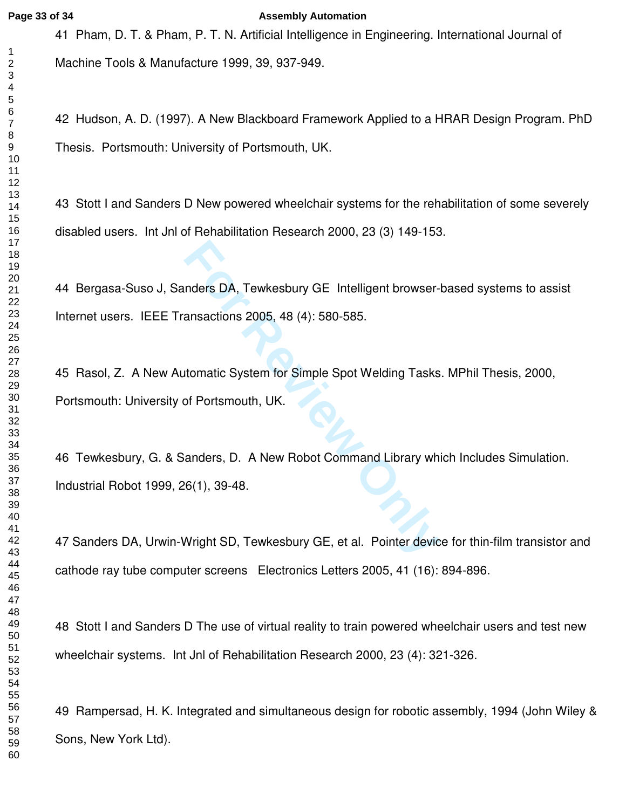#### **Page 33 of 34 Assembly Automation**

41 Pham, D. T. & Pham, P. T. N. Artificial Intelligence in Engineering. International Journal of Machine Tools & Manufacture 1999, 39, 937-949.

42 Hudson, A. D. (1997). A New Blackboard Framework Applied to a HRAR Design Program. PhD Thesis. Portsmouth: University of Portsmouth, UK.

43 Stott I and Sanders D [New powered wheelchair systems for the rehabilitation of some severely](http://apps.isiknowledge.com/WoS/CIW.cgi?SID=U2ImMLNDL5OPIIPIbJB&Func=Abstract&doc=3/8)  [disabled users.](http://apps.isiknowledge.com/WoS/CIW.cgi?SID=U2ImMLNDL5OPIIPIbJB&Func=Abstract&doc=3/8) Int Jnl of Rehabilitation Research 2000, 23 (3) 149-153.

44 Bergasa-Suso J, Sanders DA, Tewkesbury GE [Intelligent browser-based systems to assist](http://apps.isiknowledge.com/WoS/CIW.cgi?SID=U2ImMLNDL5OPIIPIbJB&Func=Abstract&doc=3/3)  [Internet users.](http://apps.isiknowledge.com/WoS/CIW.cgi?SID=U2ImMLNDL5OPIIPIbJB&Func=Abstract&doc=3/3) IEEE Transactions 2005, 48 (4): 580-585.

nders DA, Tewkesbury GE Intelligent browser-<br>
ansactions 2005, 48 (4): 580-585.<br>
Itomatic System for Simple Spot Welding Tasks<br>
of Portsmouth, UK.<br>
anders, D. A New Robot Command Library wh<br>
6(1), 39-48.<br>
Nright SD, Tewkes 45 Rasol, Z. A New Automatic System for Simple Spot Welding Tasks. MPhil Thesis, 2000, Portsmouth: University of Portsmouth, UK.

46 Tewkesbury, G. & Sanders, D. A New Robot Command Library which Includes Simulation. Industrial Robot 1999, 26(1), 39-48.

47 Sanders DA, Urwin-Wright SD, Tewkesbury GE, et al. [Pointer device for thin-film transistor and](http://apps.isiknowledge.com/WoS/CIW.cgi?SID=U2ImMLNDL5OPIIPIbJB&Func=Abstract&doc=3/2)  [cathode ray tube computer screens](http://apps.isiknowledge.com/WoS/CIW.cgi?SID=U2ImMLNDL5OPIIPIbJB&Func=Abstract&doc=3/2) Electronics Letters 2005, 41 (16): 894-896.

48 Stott I and Sanders D [The use of virtual reality to train powered wheelchair users and test new](http://apps.isiknowledge.com/WoS/CIW.cgi?SID=U2ImMLNDL5OPIIPIbJB&Func=Abstract&doc=3/7)  [wheelchair systems.](http://apps.isiknowledge.com/WoS/CIW.cgi?SID=U2ImMLNDL5OPIIPIbJB&Func=Abstract&doc=3/7) Int Jnl of Rehabilitation Research 2000, 23 (4): 321-326.

49 Rampersad, H. K. Integrated and simultaneous design for robotic assembly, 1994 (John Wiley & Sons, New York Ltd).